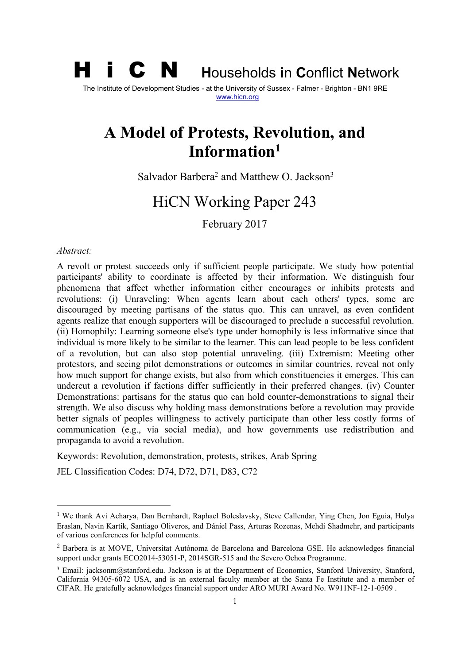**i C N Households in Conflict Network** 

The Institute of Development Studies - at the University of Sussex - Falmer - Brighton - BN1 9RE [www.hicn.org](http://www.hicn.org/)

# **A Model of Protests, Revolution, and Information[1](#page-0-0)**

Salvador Barbera<sup>[2](#page-0-1)</sup> and Matthew O. Jackson<sup>[3](#page-0-2)</sup>

# HiCN Working Paper 243

February 2017

#### *Abstract:*

A revolt or protest succeeds only if sufficient people participate. We study how potential participants' ability to coordinate is affected by their information. We distinguish four phenomena that affect whether information either encourages or inhibits protests and revolutions: (i) Unraveling: When agents learn about each others' types, some are discouraged by meeting partisans of the status quo. This can unravel, as even confident agents realize that enough supporters will be discouraged to preclude a successful revolution. (ii) Homophily: Learning someone else's type under homophily is less informative since that individual is more likely to be similar to the learner. This can lead people to be less confident of a revolution, but can also stop potential unraveling. (iii) Extremism: Meeting other protestors, and seeing pilot demonstrations or outcomes in similar countries, reveal not only how much support for change exists, but also from which constituencies it emerges. This can undercut a revolution if factions differ sufficiently in their preferred changes. (iv) Counter Demonstrations: partisans for the status quo can hold counter-demonstrations to signal their strength. We also discuss why holding mass demonstrations before a revolution may provide better signals of peoples willingness to actively participate than other less costly forms of communication (e.g., via social media), and how governments use redistribution and propaganda to avoid a revolution.

Keywords: Revolution, demonstration, protests, strikes, Arab Spring

JEL Classification Codes: D74, D72, D71, D83, C72

<span id="page-0-0"></span><sup>&</sup>lt;sup>1</sup> We thank Avi Acharya, Dan Bernhardt, Raphael Boleslavsky, Steve Callendar, Ying Chen, Jon Eguia, Hulya Eraslan, Navin Kartik, Santiago Oliveros, and Dániel Pass, Arturas Rozenas, Mehdi Shadmehr, and participants of various conferences for helpful comments.

<span id="page-0-1"></span><sup>2</sup> Barbera is at MOVE, Universitat Autònoma de Barcelona and Barcelona GSE. He acknowledges financial support under grants ECO2014-53051-P, 2014SGR-515 and the Severo Ochoa Programme.

<span id="page-0-2"></span><sup>&</sup>lt;sup>3</sup> Email: jacksonm@stanford.edu. Jackson is at the Department of Economics, Stanford University, Stanford, California 94305-6072 USA, and is an external faculty member at the Santa Fe Institute and a member of CIFAR. He gratefully acknowledges financial support under ARO MURI Award No. W911NF-12-1-0509 .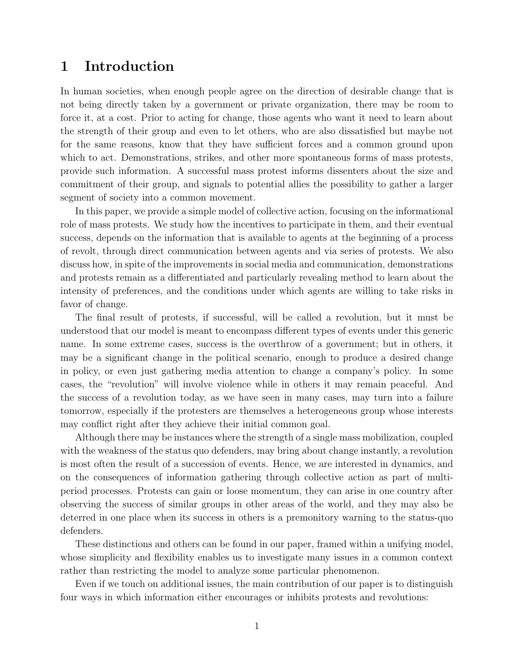# 1 Introduction

In human societies, when enough people agree on the direction of desirable change that is not being directly taken by a government or private organization, there may be room to force it, at a cost. Prior to acting for change, those agents who want it need to learn about the strength of their group and even to let others, who are also dissatisfied but maybe not for the same reasons, know that they have sufficient forces and a common ground upon which to act. Demonstrations, strikes, and other more spontaneous forms of mass protests, provide such information. A successful mass protest informs dissenters about the size and commitment of their group, and signals to potential allies the possibility to gather a larger segment of society into a common movement.

In this paper, we provide a simple model of collective action, focusing on the informational role of mass protests. We study how the incentives to participate in them, and their eventual success, depends on the information that is available to agents at the beginning of a process of revolt, through direct communication between agents and via series of protests. We also discuss how, in spite of the improvements in social media and communication, demonstrations and protests remain as a differentiated and particularly revealing method to learn about the intensity of preferences, and the conditions under which agents are willing to take risks in favor of change.

The final result of protests, if successful, will be called a revolution, but it must be understood that our model is meant to encompass different types of events under this generic name. In some extreme cases, success is the overthrow of a government; but in others, it may be a significant change in the political scenario, enough to produce a desired change in policy, or even just gathering media attention to change a company's policy. In some cases, the "revolution" will involve violence while in others it may remain peaceful. And the success of a revolution today, as we have seen in many cases, may turn into a failure tomorrow, especially if the protesters are themselves a heterogeneous group whose interests may conflict right after they achieve their initial common goal.

Although there may be instances where the strength of a single mass mobilization, coupled with the weakness of the status quo defenders, may bring about change instantly, a revolution is most often the result of a succession of events. Hence, we are interested in dynamics, and on the consequences of information gathering through collective action as part of multiperiod processes. Protests can gain or loose momentum, they can arise in one country after observing the success of similar groups in other areas of the world, and they may also be deterred in one place when its success in others is a premonitory warning to the status-quo defenders.

These distinctions and others can be found in our paper, framed within a unifying model, whose simplicity and flexibility enables us to investigate many issues in a common context rather than restricting the model to analyze some particular phenomenon.

Even if we touch on additional issues, the main contribution of our paper is to distinguish four ways in which information either encourages or inhibits protests and revolutions: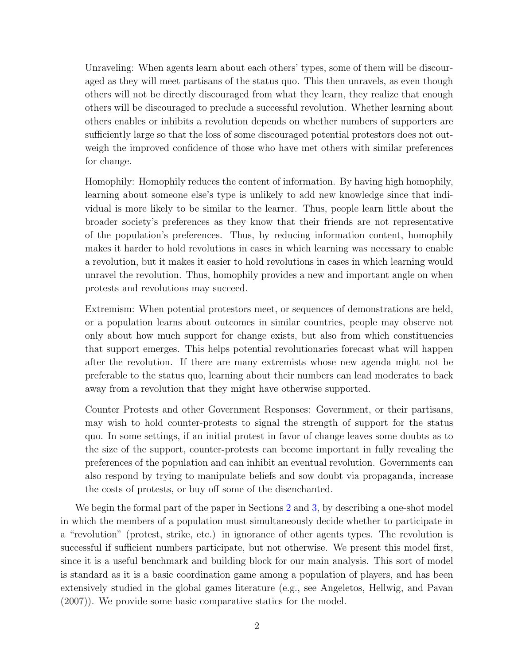Unraveling: When agents learn about each others' types, some of them will be discouraged as they will meet partisans of the status quo. This then unravels, as even though others will not be directly discouraged from what they learn, they realize that enough others will be discouraged to preclude a successful revolution. Whether learning about others enables or inhibits a revolution depends on whether numbers of supporters are sufficiently large so that the loss of some discouraged potential protestors does not outweigh the improved confidence of those who have met others with similar preferences for change.

Homophily: Homophily reduces the content of information. By having high homophily, learning about someone else's type is unlikely to add new knowledge since that individual is more likely to be similar to the learner. Thus, people learn little about the broader society's preferences as they know that their friends are not representative of the population's preferences. Thus, by reducing information content, homophily makes it harder to hold revolutions in cases in which learning was necessary to enable a revolution, but it makes it easier to hold revolutions in cases in which learning would unravel the revolution. Thus, homophily provides a new and important angle on when protests and revolutions may succeed.

Extremism: When potential protestors meet, or sequences of demonstrations are held, or a population learns about outcomes in similar countries, people may observe not only about how much support for change exists, but also from which constituencies that support emerges. This helps potential revolutionaries forecast what will happen after the revolution. If there are many extremists whose new agenda might not be preferable to the status quo, learning about their numbers can lead moderates to back away from a revolution that they might have otherwise supported.

Counter Protests and other Government Responses: Government, or their partisans, may wish to hold counter-protests to signal the strength of support for the status quo. In some settings, if an initial protest in favor of change leaves some doubts as to the size of the support, counter-protests can become important in fully revealing the preferences of the population and can inhibit an eventual revolution. Governments can also respond by trying to manipulate beliefs and sow doubt via propaganda, increase the costs of protests, or buy off some of the disenchanted.

We begin the formal part of the paper in Sections [2](#page-5-0) and [3,](#page-10-0) by describing a one-shot model in which the members of a population must simultaneously decide whether to participate in a "revolution" (protest, strike, etc.) in ignorance of other agents types. The revolution is successful if sufficient numbers participate, but not otherwise. We present this model first, since it is a useful benchmark and building block for our main analysis. This sort of model is standard as it is a basic coordination game among a population of players, and has been extensively studied in the global games literature (e.g., see Angeletos, Hellwig, and Pavan (2007)). We provide some basic comparative statics for the model.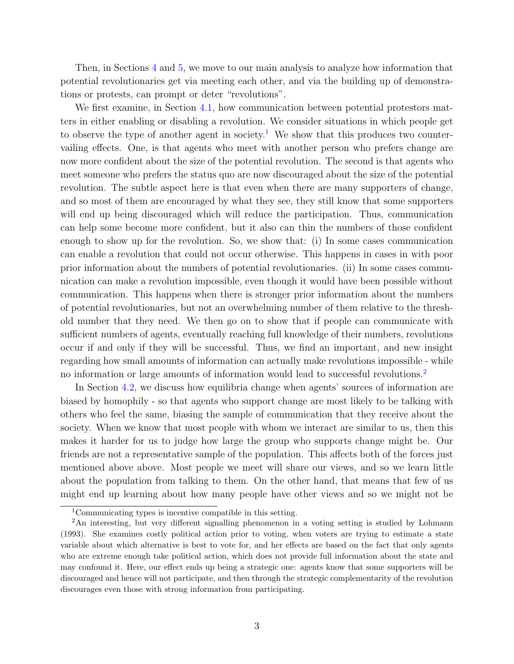Then, in Sections [4](#page-14-0) and [5,](#page-22-0) we move to our main analysis to analyze how information that potential revolutionaries get via meeting each other, and via the building up of demonstrations or protests, can prompt or deter "revolutions".

We first examine, in Section [4.1,](#page-15-0) how communication between potential protestors matters in either enabling or disabling a revolution. We consider situations in which people get to observe the type of another agent in society.<sup>[1](#page-3-0)</sup> We show that this produces two countervailing effects. One, is that agents who meet with another person who prefers change are now more confident about the size of the potential revolution. The second is that agents who meet someone who prefers the status quo are now discouraged about the size of the potential revolution. The subtle aspect here is that even when there are many supporters of change, and so most of them are encouraged by what they see, they still know that some supporters will end up being discouraged which will reduce the participation. Thus, communication can help some become more confident, but it also can thin the numbers of those confident enough to show up for the revolution. So, we show that: (i) In some cases communication can enable a revolution that could not occur otherwise. This happens in cases in with poor prior information about the numbers of potential revolutionaries. (ii) In some cases communication can make a revolution impossible, even though it would have been possible without communication. This happens when there is stronger prior information about the numbers of potential revolutionaries, but not an overwhelming number of them relative to the threshold number that they need. We then go on to show that if people can communicate with sufficient numbers of agents, eventually reaching full knowledge of their numbers, revolutions occur if and only if they will be successful. Thus, we find an important, and new insight regarding how small amounts of information can actually make revolutions impossible - while no information or large amounts of information would lead to successful revolutions.<sup>[2](#page-3-1)</sup>

In Section [4.2,](#page-19-0) we discuss how equilibria change when agents' sources of information are biased by homophily - so that agents who support change are most likely to be talking with others who feel the same, biasing the sample of communication that they receive about the society. When we know that most people with whom we interact are similar to us, then this makes it harder for us to judge how large the group who supports change might be. Our friends are not a representative sample of the population. This affects both of the forces just mentioned above above. Most people we meet will share our views, and so we learn little about the population from talking to them. On the other hand, that means that few of us might end up learning about how many people have other views and so we might not be

<span id="page-3-1"></span><span id="page-3-0"></span><sup>1</sup>Communicating types is incentive compatible in this setting.

<sup>&</sup>lt;sup>2</sup>An interesting, but very different signalling phenomenon in a voting setting is studied by Lohmann (1993). She examines costly political action prior to voting, when voters are trying to estimate a state variable about which alternative is best to vote for, and her effects are based on the fact that only agents who are extreme enough take political action, which does not provide full information about the state and may confound it. Here, our effect ends up being a strategic one: agents know that some supporters will be discouraged and hence will not participate, and then through the strategic complementarity of the revolution discourages even those with strong information from participating.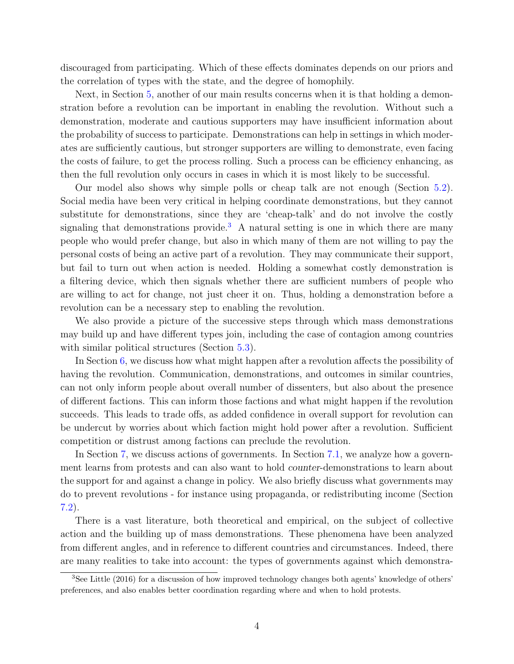discouraged from participating. Which of these effects dominates depends on our priors and the correlation of types with the state, and the degree of homophily.

Next, in Section [5,](#page-22-0) another of our main results concerns when it is that holding a demonstration before a revolution can be important in enabling the revolution. Without such a demonstration, moderate and cautious supporters may have insufficient information about the probability of success to participate. Demonstrations can help in settings in which moderates are sufficiently cautious, but stronger supporters are willing to demonstrate, even facing the costs of failure, to get the process rolling. Such a process can be efficiency enhancing, as then the full revolution only occurs in cases in which it is most likely to be successful.

Our model also shows why simple polls or cheap talk are not enough (Section [5.2\)](#page-24-0). Social media have been very critical in helping coordinate demonstrations, but they cannot substitute for demonstrations, since they are 'cheap-talk' and do not involve the costly signaling that demonstrations provide.<sup>[3](#page-4-0)</sup> A natural setting is one in which there are many people who would prefer change, but also in which many of them are not willing to pay the personal costs of being an active part of a revolution. They may communicate their support, but fail to turn out when action is needed. Holding a somewhat costly demonstration is a filtering device, which then signals whether there are sufficient numbers of people who are willing to act for change, not just cheer it on. Thus, holding a demonstration before a revolution can be a necessary step to enabling the revolution.

We also provide a picture of the successive steps through which mass demonstrations may build up and have different types join, including the case of contagion among countries with similar political structures (Section [5.3\)](#page-25-0).

In Section [6,](#page-26-0) we discuss how what might happen after a revolution affects the possibility of having the revolution. Communication, demonstrations, and outcomes in similar countries, can not only inform people about overall number of dissenters, but also about the presence of different factions. This can inform those factions and what might happen if the revolution succeeds. This leads to trade offs, as added confidence in overall support for revolution can be undercut by worries about which faction might hold power after a revolution. Sufficient competition or distrust among factions can preclude the revolution.

In Section [7,](#page-28-0) we discuss actions of governments. In Section [7.1,](#page-28-1) we analyze how a government learns from protests and can also want to hold counter-demonstrations to learn about the support for and against a change in policy. We also briefly discuss what governments may do to prevent revolutions - for instance using propaganda, or redistributing income (Section [7.2\)](#page-32-0).

There is a vast literature, both theoretical and empirical, on the subject of collective action and the building up of mass demonstrations. These phenomena have been analyzed from different angles, and in reference to different countries and circumstances. Indeed, there are many realities to take into account: the types of governments against which demonstra-

<span id="page-4-0"></span><sup>3</sup>See Little (2016) for a discussion of how improved technology changes both agents' knowledge of others' preferences, and also enables better coordination regarding where and when to hold protests.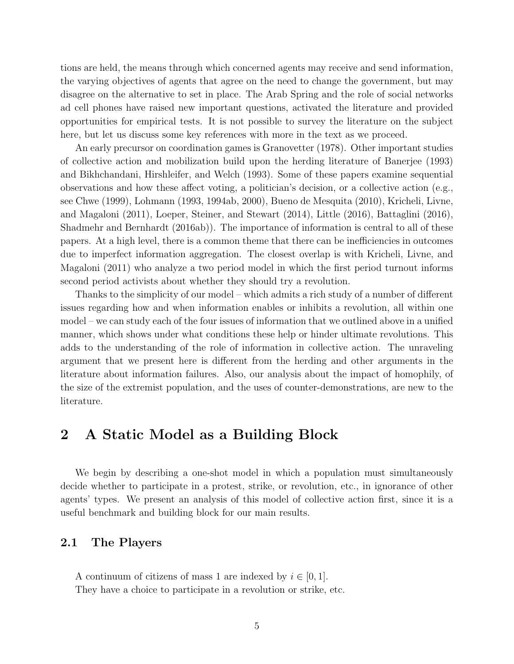tions are held, the means through which concerned agents may receive and send information, the varying objectives of agents that agree on the need to change the government, but may disagree on the alternative to set in place. The Arab Spring and the role of social networks ad cell phones have raised new important questions, activated the literature and provided opportunities for empirical tests. It is not possible to survey the literature on the subject here, but let us discuss some key references with more in the text as we proceed.

An early precursor on coordination games is Granovetter (1978). Other important studies of collective action and mobilization build upon the herding literature of Banerjee (1993) and Bikhchandani, Hirshleifer, and Welch (1993). Some of these papers examine sequential observations and how these affect voting, a politician's decision, or a collective action (e.g., see Chwe (1999), Lohmann (1993, 1994ab, 2000), Bueno de Mesquita (2010), Kricheli, Livne, and Magaloni (2011), Loeper, Steiner, and Stewart (2014), Little (2016), Battaglini (2016), Shadmehr and Bernhardt (2016ab)). The importance of information is central to all of these papers. At a high level, there is a common theme that there can be inefficiencies in outcomes due to imperfect information aggregation. The closest overlap is with Kricheli, Livne, and Magaloni (2011) who analyze a two period model in which the first period turnout informs second period activists about whether they should try a revolution.

Thanks to the simplicity of our model – which admits a rich study of a number of different issues regarding how and when information enables or inhibits a revolution, all within one model – we can study each of the four issues of information that we outlined above in a unified manner, which shows under what conditions these help or hinder ultimate revolutions. This adds to the understanding of the role of information in collective action. The unraveling argument that we present here is different from the herding and other arguments in the literature about information failures. Also, our analysis about the impact of homophily, of the size of the extremist population, and the uses of counter-demonstrations, are new to the literature.

# <span id="page-5-0"></span>2 A Static Model as a Building Block

We begin by describing a one-shot model in which a population must simultaneously decide whether to participate in a protest, strike, or revolution, etc., in ignorance of other agents' types. We present an analysis of this model of collective action first, since it is a useful benchmark and building block for our main results.

### 2.1 The Players

A continuum of citizens of mass 1 are indexed by  $i \in [0, 1]$ . They have a choice to participate in a revolution or strike, etc.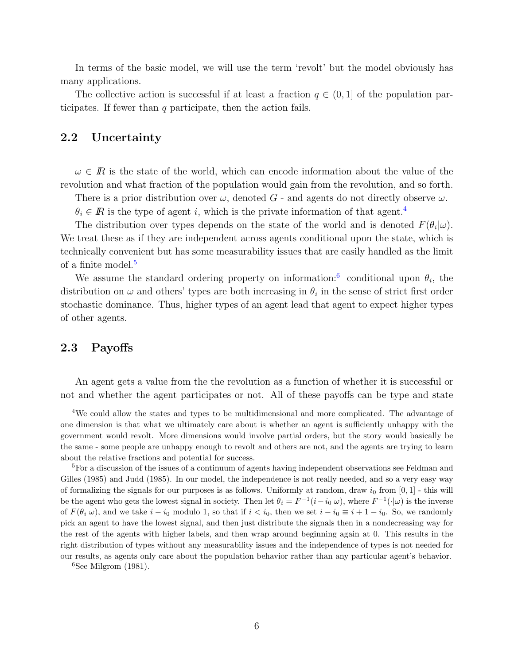In terms of the basic model, we will use the term 'revolt' but the model obviously has many applications.

The collective action is successful if at least a fraction  $q \in (0,1]$  of the population participates. If fewer than  $q$  participate, then the action fails.

## 2.2 Uncertainty

 $\omega \in \mathbb{R}$  is the state of the world, which can encode information about the value of the revolution and what fraction of the population would gain from the revolution, and so forth.

There is a prior distribution over  $\omega$ , denoted G - and agents do not directly observe  $\omega$ .

 $\theta_i \in \mathbb{R}$  is the type of agent i, which is the private information of that agent.<sup>[4](#page-6-0)</sup>

The distribution over types depends on the state of the world and is denoted  $F(\theta_i|\omega)$ . We treat these as if they are independent across agents conditional upon the state, which is technically convenient but has some measurability issues that are easily handled as the limit of a finite model.<sup>[5](#page-6-1)</sup>

We assume the standard ordering property on information:<sup>[6](#page-6-2)</sup> conditional upon  $\theta_i$ , the distribution on  $\omega$  and others' types are both increasing in  $\theta_i$  in the sense of strict first order stochastic dominance. Thus, higher types of an agent lead that agent to expect higher types of other agents.

#### 2.3 Payoffs

An agent gets a value from the the revolution as a function of whether it is successful or not and whether the agent participates or not. All of these payoffs can be type and state

<span id="page-6-2"></span> ${}^{6}$ See Milgrom (1981).

<span id="page-6-0"></span><sup>4</sup>We could allow the states and types to be multidimensional and more complicated. The advantage of one dimension is that what we ultimately care about is whether an agent is sufficiently unhappy with the government would revolt. More dimensions would involve partial orders, but the story would basically be the same - some people are unhappy enough to revolt and others are not, and the agents are trying to learn about the relative fractions and potential for success.

<span id="page-6-1"></span><sup>5</sup>For a discussion of the issues of a continuum of agents having independent observations see Feldman and Gilles (1985) and Judd (1985). In our model, the independence is not really needed, and so a very easy way of formalizing the signals for our purposes is as follows. Uniformly at random, draw  $i_0$  from [0, 1] - this will be the agent who gets the lowest signal in society. Then let  $\theta_i = F^{-1}(i - i_0|\omega)$ , where  $F^{-1}(\cdot|\omega)$  is the inverse of  $F(\theta_i|\omega)$ , and we take  $i - i_0$  modulo 1, so that if  $i < i_0$ , then we set  $i - i_0 \equiv i + 1 - i_0$ . So, we randomly pick an agent to have the lowest signal, and then just distribute the signals then in a nondecreasing way for the rest of the agents with higher labels, and then wrap around beginning again at 0. This results in the right distribution of types without any measurability issues and the independence of types is not needed for our results, as agents only care about the population behavior rather than any particular agent's behavior.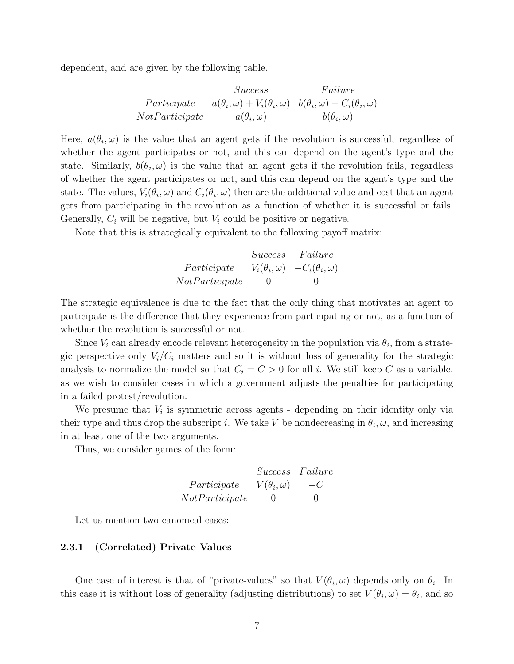dependent, and are given by the following table.

$$
Success \t Failure
$$
  
Participate  $a(\theta_i, \omega) + V_i(\theta_i, \omega) \t b(\theta_i, \omega) - C_i(\theta_i, \omega)$   
NotParticipate  $a(\theta_i, \omega)$   $b(\theta_i, \omega)$ 

Here,  $a(\theta_i, \omega)$  is the value that an agent gets if the revolution is successful, regardless of whether the agent participates or not, and this can depend on the agent's type and the state. Similarly,  $b(\theta_i, \omega)$  is the value that an agent gets if the revolution fails, regardless of whether the agent participates or not, and this can depend on the agent's type and the state. The values,  $V_i(\theta_i, \omega)$  and  $C_i(\theta_i, \omega)$  then are the additional value and cost that an agent gets from participating in the revolution as a function of whether it is successful or fails. Generally,  $C_i$  will be negative, but  $V_i$  could be positive or negative.

Note that this is strategically equivalent to the following payoff matrix:

|                | Success | Failure                                          |
|----------------|---------|--------------------------------------------------|
| Participate    |         | $V_i(\theta_i, \omega)$ $-C_i(\theta_i, \omega)$ |
| NotParticipate | $\cup$  | $\cup$                                           |

The strategic equivalence is due to the fact that the only thing that motivates an agent to participate is the difference that they experience from participating or not, as a function of whether the revolution is successful or not.

Since  $V_i$  can already encode relevant heterogeneity in the population via  $\theta_i$ , from a strategic perspective only  $V_i/C_i$  matters and so it is without loss of generality for the strategic analysis to normalize the model so that  $C_i = C > 0$  for all i. We still keep C as a variable, as we wish to consider cases in which a government adjusts the penalties for participating in a failed protest/revolution.

We presume that  $V_i$  is symmetric across agents - depending on their identity only via their type and thus drop the subscript *i*. We take V be nondecreasing in  $\theta_i$ ,  $\omega$ , and increasing in at least one of the two arguments.

Thus, we consider games of the form:

$$
Success\quad Failure\\Participate \qquad V(\theta_i, \omega) \qquad -C\\NotParticipate \qquad 0 \qquad 0
$$

Let us mention two canonical cases:

#### 2.3.1 (Correlated) Private Values

One case of interest is that of "private-values" so that  $V(\theta_i, \omega)$  depends only on  $\theta_i$ . In this case it is without loss of generality (adjusting distributions) to set  $V(\theta_i, \omega) = \theta_i$ , and so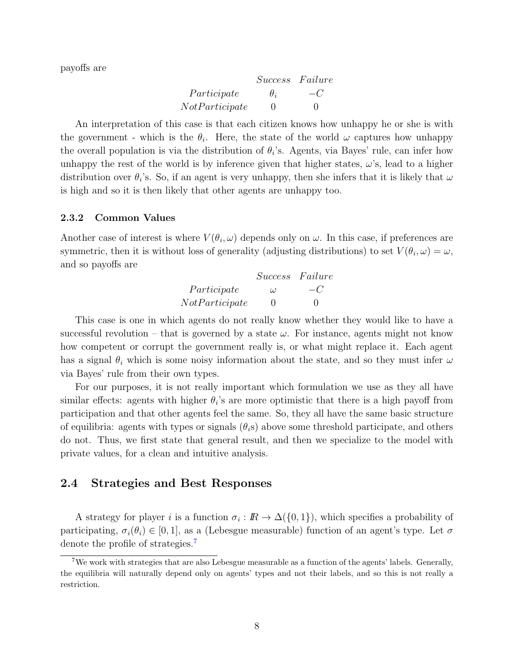payoffs are

|                | Success Failure |        |
|----------------|-----------------|--------|
| Participate    | $\theta_i$      | $-C$   |
| NotParticipate | $\mathbf{0}$    | $\Box$ |

An interpretation of this case is that each citizen knows how unhappy he or she is with the government - which is the  $\theta_i$ . Here, the state of the world  $\omega$  captures how unhappy the overall population is via the distribution of  $\theta_i$ 's. Agents, via Bayes' rule, can infer how unhappy the rest of the world is by inference given that higher states,  $\omega$ 's, lead to a higher distribution over  $\theta_i$ 's. So, if an agent is very unhappy, then she infers that it is likely that  $\omega$ is high and so it is then likely that other agents are unhappy too.

#### 2.3.2 Common Values

Another case of interest is where  $V(\theta_i, \omega)$  depends only on  $\omega$ . In this case, if preferences are symmetric, then it is without loss of generality (adjusting distributions) to set  $V(\theta_i, \omega) = \omega$ , and so payoffs are

|                | Success Failure |        |
|----------------|-----------------|--------|
| Participate    | $\iota$         | $-C$   |
| NotParticipate | $\mathbf{0}$    | $\cup$ |

This case is one in which agents do not really know whether they would like to have a successful revolution – that is governed by a state  $\omega$ . For instance, agents might not know how competent or corrupt the government really is, or what might replace it. Each agent has a signal  $\theta_i$  which is some noisy information about the state, and so they must infer  $\omega$ via Bayes' rule from their own types.

For our purposes, it is not really important which formulation we use as they all have similar effects: agents with higher  $\theta_i$ 's are more optimistic that there is a high payoff from participation and that other agents feel the same. So, they all have the same basic structure of equilibria: agents with types or signals  $(\theta_i s)$  above some threshold participate, and others do not. Thus, we first state that general result, and then we specialize to the model with private values, for a clean and intuitive analysis.

# 2.4 Strategies and Best Responses

A strategy for player *i* is a function  $\sigma_i : \mathbb{R} \to \Delta({0,1})$ , which specifies a probability of participating,  $\sigma_i(\theta_i) \in [0, 1]$ , as a (Lebesgue measurable) function of an agent's type. Let  $\sigma$ denote the profile of strategies.<sup>[7](#page-8-0)</sup>

<span id="page-8-0"></span><sup>&</sup>lt;sup>7</sup>We work with strategies that are also Lebesgue measurable as a function of the agents' labels. Generally, the equilibria will naturally depend only on agents' types and not their labels, and so this is not really a restriction.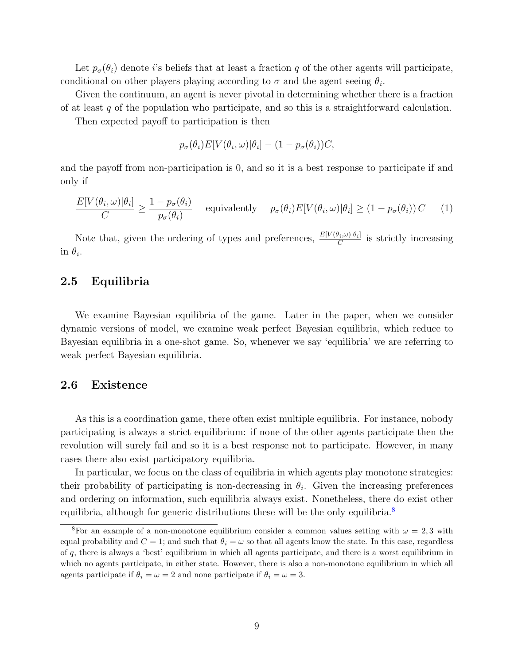Let  $p_{\sigma}(\theta_i)$  denote i's beliefs that at least a fraction q of the other agents will participate, conditional on other players playing according to  $\sigma$  and the agent seeing  $\theta_i$ .

Given the continuum, an agent is never pivotal in determining whether there is a fraction of at least  $q$  of the population who participate, and so this is a straightforward calculation.

Then expected payoff to participation is then

$$
p_{\sigma}(\theta_i)E[V(\theta_i,\omega)|\theta_i] - (1 - p_{\sigma}(\theta_i))C,
$$

and the payoff from non-participation is 0, and so it is a best response to participate if and only if

<span id="page-9-1"></span>
$$
\frac{E[V(\theta_i, \omega)|\theta_i]}{C} \ge \frac{1 - p_\sigma(\theta_i)}{p_\sigma(\theta_i)} \quad \text{equivalently} \quad p_\sigma(\theta_i) E[V(\theta_i, \omega)|\theta_i] \ge (1 - p_\sigma(\theta_i)) C \quad (1)
$$

Note that, given the ordering of types and preferences,  $\frac{E[V(\theta_i,\omega)|\theta_i]}{C}$  is strictly increasing in  $\theta_i$ .

### 2.5 Equilibria

We examine Bayesian equilibria of the game. Later in the paper, when we consider dynamic versions of model, we examine weak perfect Bayesian equilibria, which reduce to Bayesian equilibria in a one-shot game. So, whenever we say 'equilibria' we are referring to weak perfect Bayesian equilibria.

#### 2.6 Existence

As this is a coordination game, there often exist multiple equilibria. For instance, nobody participating is always a strict equilibrium: if none of the other agents participate then the revolution will surely fail and so it is a best response not to participate. However, in many cases there also exist participatory equilibria.

In particular, we focus on the class of equilibria in which agents play monotone strategies: their probability of participating is non-decreasing in  $\theta_i$ . Given the increasing preferences and ordering on information, such equilibria always exist. Nonetheless, there do exist other equilibria, although for generic distributions these will be the only equilibria.<sup>[8](#page-9-0)</sup>

<span id="page-9-0"></span><sup>&</sup>lt;sup>8</sup>For an example of a non-monotone equilibrium consider a common values setting with  $\omega = 2, 3$  with equal probability and  $C = 1$ ; and such that  $\theta_i = \omega$  so that all agents know the state. In this case, regardless of q, there is always a 'best' equilibrium in which all agents participate, and there is a worst equilibrium in which no agents participate, in either state. However, there is also a non-monotone equilibrium in which all agents participate if  $\theta_i = \omega = 2$  and none participate if  $\theta_i = \omega = 3$ .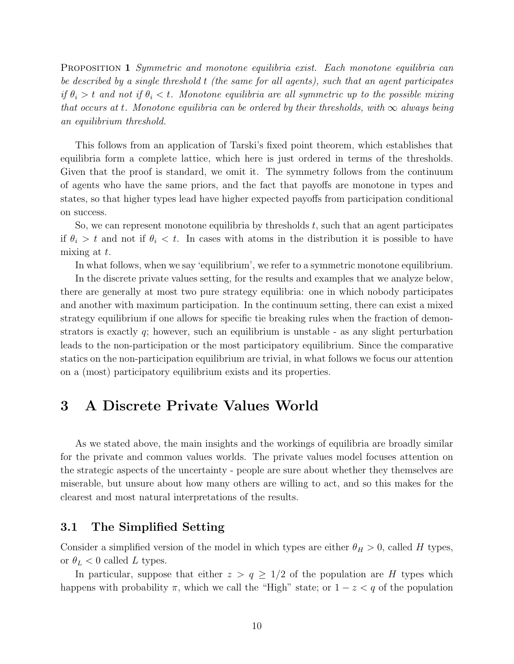PROPOSITION 1 Symmetric and monotone equilibria exist. Each monotone equilibria can be described by a single threshold t (the same for all agents), such that an agent participates if  $\theta_i > t$  and not if  $\theta_i < t$ . Monotone equilibria are all symmetric up to the possible mixing that occurs at t. Monotone equilibria can be ordered by their thresholds, with  $\infty$  always being an equilibrium threshold.

This follows from an application of Tarski's fixed point theorem, which establishes that equilibria form a complete lattice, which here is just ordered in terms of the thresholds. Given that the proof is standard, we omit it. The symmetry follows from the continuum of agents who have the same priors, and the fact that payoffs are monotone in types and states, so that higher types lead have higher expected payoffs from participation conditional on success.

So, we can represent monotone equilibria by thresholds  $t$ , such that an agent participates if  $\theta_i > t$  and not if  $\theta_i < t$ . In cases with atoms in the distribution it is possible to have mixing at  $t$ .

In what follows, when we say 'equilibrium', we refer to a symmetric monotone equilibrium.

In the discrete private values setting, for the results and examples that we analyze below, there are generally at most two pure strategy equilibria: one in which nobody participates and another with maximum participation. In the continuum setting, there can exist a mixed strategy equilibrium if one allows for specific tie breaking rules when the fraction of demonstrators is exactly  $q$ ; however, such an equilibrium is unstable - as any slight perturbation leads to the non-participation or the most participatory equilibrium. Since the comparative statics on the non-participation equilibrium are trivial, in what follows we focus our attention on a (most) participatory equilibrium exists and its properties.

# <span id="page-10-0"></span>3 A Discrete Private Values World

As we stated above, the main insights and the workings of equilibria are broadly similar for the private and common values worlds. The private values model focuses attention on the strategic aspects of the uncertainty - people are sure about whether they themselves are miserable, but unsure about how many others are willing to act, and so this makes for the clearest and most natural interpretations of the results.

# 3.1 The Simplified Setting

Consider a simplified version of the model in which types are either  $\theta_H > 0$ , called H types, or  $\theta_L < 0$  called L types.

In particular, suppose that either  $z > q \geq 1/2$  of the population are H types which happens with probability  $\pi$ , which we call the "High" state; or  $1 - z < q$  of the population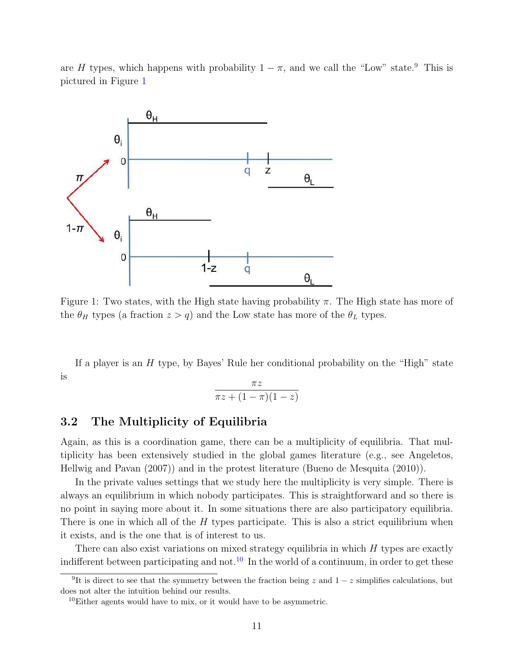are H types, which happens with probability  $1 - \pi$ , and we call the "Low" state.<sup>[9](#page-11-0)</sup> This is pictured in Figure [1](#page-11-1)

<span id="page-11-1"></span>

Figure 1: Two states, with the High state having probability  $\pi$ . The High state has more of the  $\theta_H$  types (a fraction  $z > q$ ) and the Low state has more of the  $\theta_L$  types.

If a player is an  $H$  type, by Bayes' Rule her conditional probability on the "High" state is

$$
\frac{\pi z}{\pi z + (1 - \pi)(1 - z)}
$$

# 3.2 The Multiplicity of Equilibria

Again, as this is a coordination game, there can be a multiplicity of equilibria. That multiplicity has been extensively studied in the global games literature (e.g., see Angeletos, Hellwig and Pavan (2007)) and in the protest literature (Bueno de Mesquita (2010)).

In the private values settings that we study here the multiplicity is very simple. There is always an equilibrium in which nobody participates. This is straightforward and so there is no point in saying more about it. In some situations there are also participatory equilibria. There is one in which all of the  $H$  types participate. This is also a strict equilibrium when it exists, and is the one that is of interest to us.

There can also exist variations on mixed strategy equilibria in which  $H$  types are exactly indifferent between participating and not.<sup>[10](#page-11-2)</sup> In the world of a continuum, in order to get these

<span id="page-11-0"></span><sup>&</sup>lt;sup>9</sup>It is direct to see that the symmetry between the fraction being z and  $1-z$  simplifies calculations, but does not alter the intuition behind our results.

<span id="page-11-2"></span> $10$ Either agents would have to mix, or it would have to be asymmetric.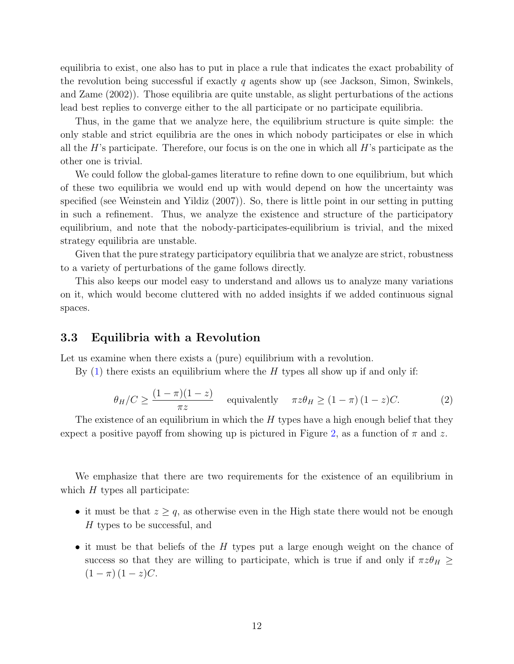equilibria to exist, one also has to put in place a rule that indicates the exact probability of the revolution being successful if exactly q agents show up (see Jackson, Simon, Swinkels, and Zame (2002)). Those equilibria are quite unstable, as slight perturbations of the actions lead best replies to converge either to the all participate or no participate equilibria.

Thus, in the game that we analyze here, the equilibrium structure is quite simple: the only stable and strict equilibria are the ones in which nobody participates or else in which all the  $H$ 's participate. Therefore, our focus is on the one in which all  $H$ 's participate as the other one is trivial.

We could follow the global-games literature to refine down to one equilibrium, but which of these two equilibria we would end up with would depend on how the uncertainty was specified (see Weinstein and Yildiz (2007)). So, there is little point in our setting in putting in such a refinement. Thus, we analyze the existence and structure of the participatory equilibrium, and note that the nobody-participates-equilibrium is trivial, and the mixed strategy equilibria are unstable.

Given that the pure strategy participatory equilibria that we analyze are strict, robustness to a variety of perturbations of the game follows directly.

This also keeps our model easy to understand and allows us to analyze many variations on it, which would become cluttered with no added insights if we added continuous signal spaces.

### 3.3 Equilibria with a Revolution

Let us examine when there exists a (pure) equilibrium with a revolution.

By  $(1)$  there exists an equilibrium where the H types all show up if and only if:

<span id="page-12-0"></span>
$$
\theta_H/C \ge \frac{(1-\pi)(1-z)}{\pi z} \quad \text{equivalently} \quad \pi z \theta_H \ge (1-\pi)(1-z)C. \tag{2}
$$

The existence of an equilibrium in which the  $H$  types have a high enough belief that they expect a positive payoff from showing up is pictured in Figure [2,](#page-13-0) as a function of  $\pi$  and z.

We emphasize that there are two requirements for the existence of an equilibrium in which  $H$  types all participate:

- it must be that  $z \geq q$ , as otherwise even in the High state there would not be enough H types to be successful, and
- it must be that beliefs of the H types put a large enough weight on the chance of success so that they are willing to participate, which is true if and only if  $\pi z \theta_H \ge$  $(1 - \pi) (1 - z)C$ .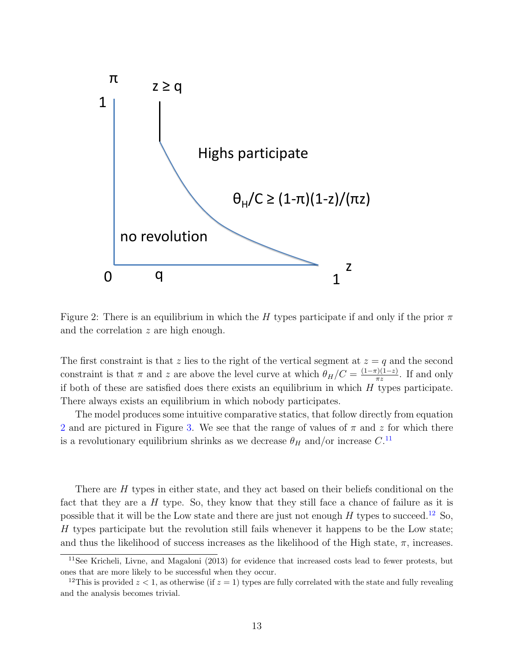<span id="page-13-0"></span>

Figure 2: There is an equilibrium in which the H types participate if and only if the prior  $\pi$ and the correlation z are high enough.

The first constraint is that z lies to the right of the vertical segment at  $z = q$  and the second constraint is that  $\pi$  and z are above the level curve at which  $\theta_H/C = \frac{(1-\pi)(1-z)}{\pi z}$  $rac{r_1(1-z)}{\pi z}$ . If and only if both of these are satisfied does there exists an equilibrium in which  $H$  types participate. There always exists an equilibrium in which nobody participates.

The model produces some intuitive comparative statics, that follow directly from equation [2](#page-12-0) and are pictured in Figure [3.](#page-14-1) We see that the range of values of  $\pi$  and  $z$  for which there is a revolutionary equilibrium shrinks as we decrease  $\theta_H$  and/or increase  $C$ .<sup>[11](#page-13-1)</sup>

There are H types in either state, and they act based on their beliefs conditional on the fact that they are a  $H$  type. So, they know that they still face a chance of failure as it is possible that it will be the Low state and there are just not enough  $H$  types to succeed.<sup>[12](#page-13-2)</sup> So,  $H$  types participate but the revolution still fails whenever it happens to be the Low state; and thus the likelihood of success increases as the likelihood of the High state,  $\pi$ , increases.

<span id="page-13-1"></span><sup>11</sup>See Kricheli, Livne, and Magaloni (2013) for evidence that increased costs lead to fewer protests, but ones that are more likely to be successful when they occur.

<span id="page-13-2"></span><sup>&</sup>lt;sup>12</sup>This is provided  $z < 1$ , as otherwise (if  $z = 1$ ) types are fully correlated with the state and fully revealing and the analysis becomes trivial.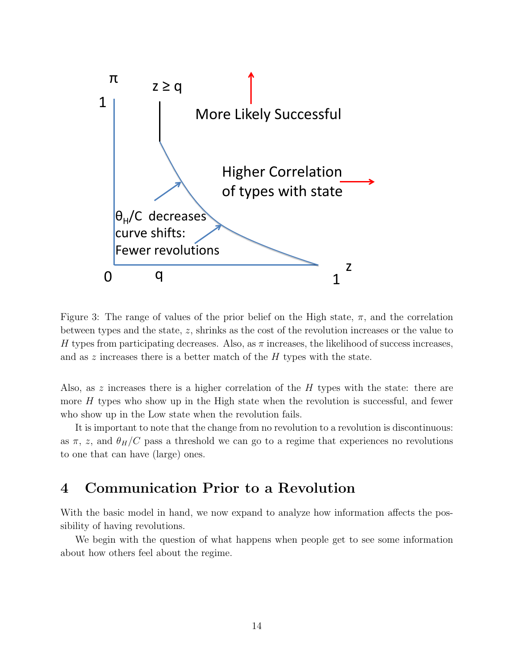<span id="page-14-1"></span>

Figure 3: The range of values of the prior belief on the High state,  $\pi$ , and the correlation between types and the state, z, shrinks as the cost of the revolution increases or the value to H types from participating decreases. Also, as  $\pi$  increases, the likelihood of success increases, and as z increases there is a better match of the  $H$  types with the state.

Also, as z increases there is a higher correlation of the  $H$  types with the state: there are more  $H$  types who show up in the High state when the revolution is successful, and fewer who show up in the Low state when the revolution fails.

It is important to note that the change from no revolution to a revolution is discontinuous: as  $\pi$ , z, and  $\theta_H/C$  pass a threshold we can go to a regime that experiences no revolutions to one that can have (large) ones.

# <span id="page-14-0"></span>4 Communication Prior to a Revolution

With the basic model in hand, we now expand to analyze how information affects the possibility of having revolutions.

We begin with the question of what happens when people get to see some information about how others feel about the regime.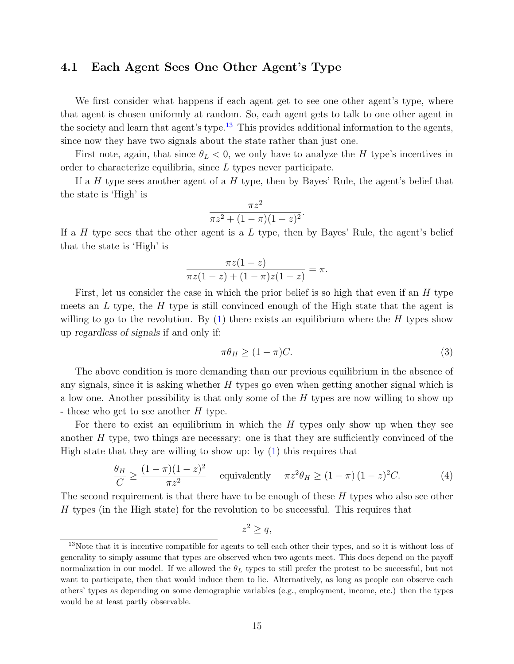# <span id="page-15-0"></span>4.1 Each Agent Sees One Other Agent's Type

We first consider what happens if each agent get to see one other agent's type, where that agent is chosen uniformly at random. So, each agent gets to talk to one other agent in the society and learn that agent's type.<sup>[13](#page-15-1)</sup> This provides additional information to the agents, since now they have two signals about the state rather than just one.

First note, again, that since  $\theta_L < 0$ , we only have to analyze the H type's incentives in order to characterize equilibria, since L types never participate.

If a H type sees another agent of a H type, then by Bayes' Rule, the agent's belief that the state is 'High' is

$$
\frac{\pi z^2}{\pi z^2 + (1 - \pi)(1 - z)^2}.
$$

If a H type sees that the other agent is a  $L$  type, then by Bayes' Rule, the agent's belief that the state is 'High' is

$$
\frac{\pi z(1-z)}{\pi z(1-z) + (1-\pi)z(1-z)} = \pi.
$$

First, let us consider the case in which the prior belief is so high that even if an H type meets an  $L$  type, the  $H$  type is still convinced enough of the High state that the agent is willing to go to the revolution. By  $(1)$  there exists an equilibrium where the H types show up regardless of signals if and only if:

<span id="page-15-2"></span>
$$
\pi \theta_H \ge (1 - \pi) C. \tag{3}
$$

The above condition is more demanding than our previous equilibrium in the absence of any signals, since it is asking whether  $H$  types go even when getting another signal which is a low one. Another possibility is that only some of the H types are now willing to show up - those who get to see another H type.

For there to exist an equilibrium in which the  $H$  types only show up when they see another H type, two things are necessary: one is that they are sufficiently convinced of the High state that they are willing to show up: by  $(1)$  this requires that

<span id="page-15-3"></span>
$$
\frac{\theta_H}{C} \ge \frac{(1-\pi)(1-z)^2}{\pi z^2} \quad \text{equivalently} \quad \pi z^2 \theta_H \ge (1-\pi)(1-z)^2 C. \tag{4}
$$

The second requirement is that there have to be enough of these  $H$  types who also see other H types (in the High state) for the revolution to be successful. This requires that

$$
z^2 \ge q,
$$

<span id="page-15-1"></span><sup>&</sup>lt;sup>13</sup>Note that it is incentive compatible for agents to tell each other their types, and so it is without loss of generality to simply assume that types are observed when two agents meet. This does depend on the payoff normalization in our model. If we allowed the  $\theta_L$  types to still prefer the protest to be successful, but not want to participate, then that would induce them to lie. Alternatively, as long as people can observe each others' types as depending on some demographic variables (e.g., employment, income, etc.) then the types would be at least partly observable.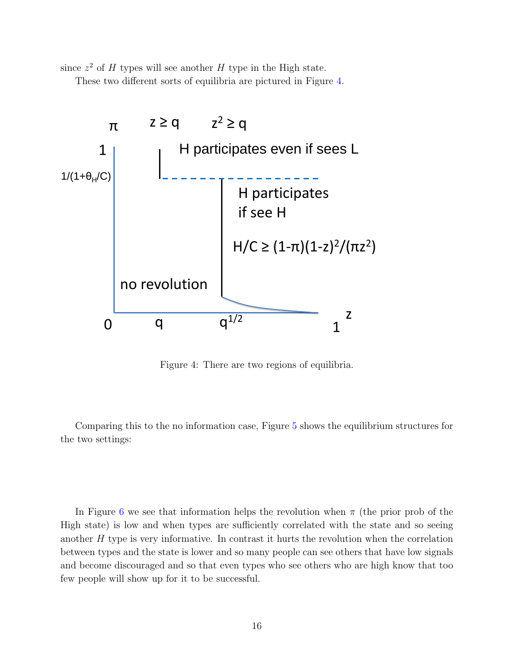since  $z^2$  of H types will see another H type in the High state.

These two different sorts of equilibria are pictured in Figure [4.](#page-16-0)

<span id="page-16-0"></span>

Figure 4: There are two regions of equilibria.

Comparing this to the no information case, Figure [5](#page-17-0) shows the equilibrium structures for the two settings:

In Figure [6](#page-18-0) we see that information helps the revolution when  $\pi$  (the prior prob of the High state) is low and when types are sufficiently correlated with the state and so seeing another  $H$  type is very informative. In contrast it hurts the revolution when the correlation between types and the state is lower and so many people can see others that have low signals and become discouraged and so that even types who see others who are high know that too few people will show up for it to be successful.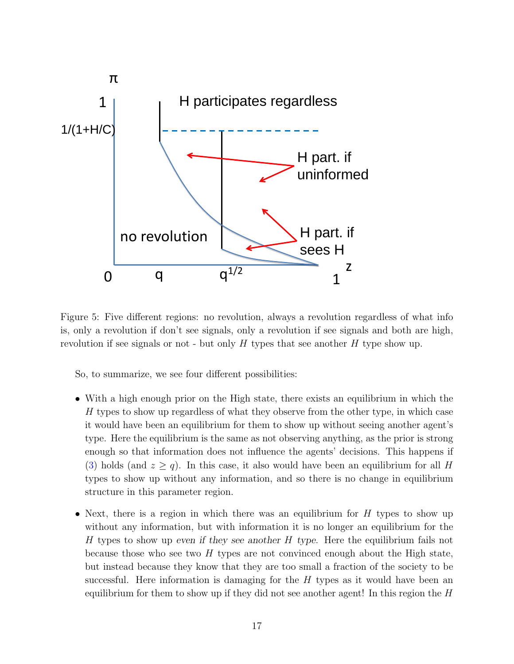<span id="page-17-0"></span>

Figure 5: Five different regions: no revolution, always a revolution regardless of what info is, only a revolution if don't see signals, only a revolution if see signals and both are high, revolution if see signals or not - but only  $H$  types that see another  $H$  type show up.

So, to summarize, we see four different possibilities:

- With a high enough prior on the High state, there exists an equilibrium in which the H types to show up regardless of what they observe from the other type, in which case it would have been an equilibrium for them to show up without seeing another agent's type. Here the equilibrium is the same as not observing anything, as the prior is strong enough so that information does not influence the agents' decisions. This happens if [\(3\)](#page-15-2) holds (and  $z \ge q$ ). In this case, it also would have been an equilibrium for all H types to show up without any information, and so there is no change in equilibrium structure in this parameter region.
- Next, there is a region in which there was an equilibrium for  $H$  types to show up without any information, but with information it is no longer an equilibrium for the H types to show up even if they see another H type. Here the equilibrium fails not because those who see two  $H$  types are not convinced enough about the High state, but instead because they know that they are too small a fraction of the society to be successful. Here information is damaging for the  $H$  types as it would have been an equilibrium for them to show up if they did not see another agent! In this region the  $H$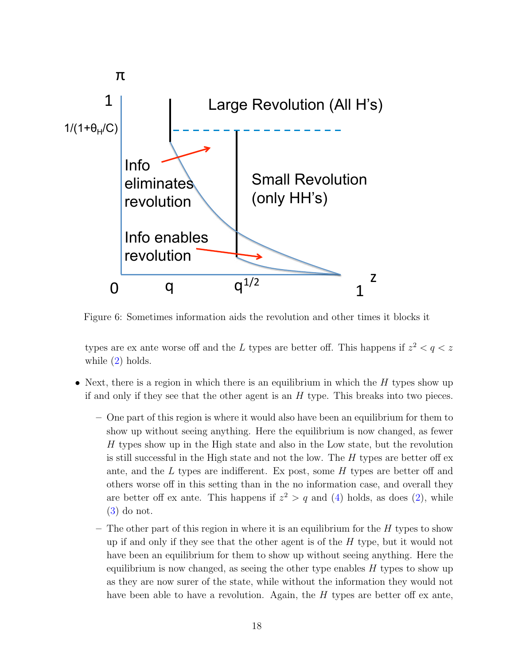<span id="page-18-0"></span>

Figure 6: Sometimes information aids the revolution and other times it blocks it

types are ex ante worse off and the L types are better off. This happens if  $z^2 < q < z$ while  $(2)$  holds.

- Next, there is a region in which there is an equilibrium in which the  $H$  types show up if and only if they see that the other agent is an  $H$  type. This breaks into two pieces.
	- One part of this region is where it would also have been an equilibrium for them to show up without seeing anything. Here the equilibrium is now changed, as fewer H types show up in the High state and also in the Low state, but the revolution is still successful in the High state and not the low. The  $H$  types are better off ex ante, and the  $L$  types are indifferent. Ex post, some  $H$  types are better off and others worse off in this setting than in the no information case, and overall they are better off ex ante. This happens if  $z^2 > q$  and [\(4\)](#page-15-3) holds, as does [\(2\)](#page-12-0), while [\(3\)](#page-15-2) do not.
	- The other part of this region in where it is an equilibrium for the  $H$  types to show up if and only if they see that the other agent is of the  $H$  type, but it would not have been an equilibrium for them to show up without seeing anything. Here the equilibrium is now changed, as seeing the other type enables  $H$  types to show up as they are now surer of the state, while without the information they would not have been able to have a revolution. Again, the  $H$  types are better off ex ante,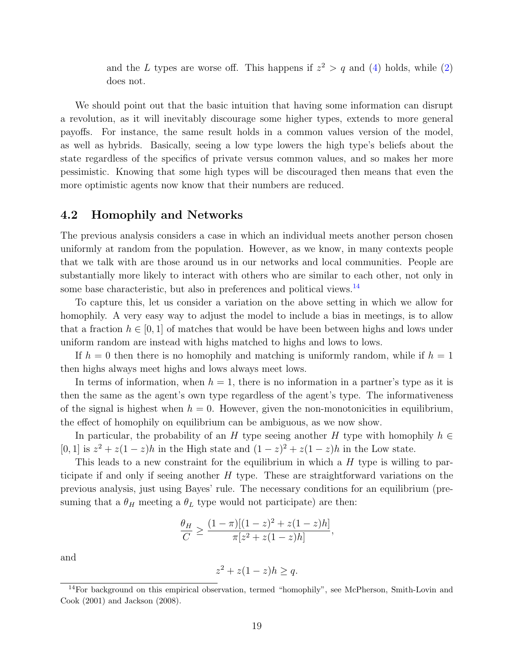and the L types are worse off. This happens if  $z^2 > q$  and [\(4\)](#page-15-3) holds, while [\(2\)](#page-12-0) does not.

We should point out that the basic intuition that having some information can disrupt a revolution, as it will inevitably discourage some higher types, extends to more general payoffs. For instance, the same result holds in a common values version of the model, as well as hybrids. Basically, seeing a low type lowers the high type's beliefs about the state regardless of the specifics of private versus common values, and so makes her more pessimistic. Knowing that some high types will be discouraged then means that even the more optimistic agents now know that their numbers are reduced.

#### <span id="page-19-0"></span>4.2 Homophily and Networks

The previous analysis considers a case in which an individual meets another person chosen uniformly at random from the population. However, as we know, in many contexts people that we talk with are those around us in our networks and local communities. People are substantially more likely to interact with others who are similar to each other, not only in some base characteristic, but also in preferences and political views.<sup>[14](#page-19-1)</sup>

To capture this, let us consider a variation on the above setting in which we allow for homophily. A very easy way to adjust the model to include a bias in meetings, is to allow that a fraction  $h \in [0, 1]$  of matches that would be have been between highs and lows under uniform random are instead with highs matched to highs and lows to lows.

If  $h = 0$  then there is no homophily and matching is uniformly random, while if  $h = 1$ then highs always meet highs and lows always meet lows.

In terms of information, when  $h = 1$ , there is no information in a partner's type as it is then the same as the agent's own type regardless of the agent's type. The informativeness of the signal is highest when  $h = 0$ . However, given the non-monotonicities in equilibrium, the effect of homophily on equilibrium can be ambiguous, as we now show.

In particular, the probability of an H type seeing another H type with homophily  $h \in$ [0, 1] is  $z^2 + z(1-z)h$  in the High state and  $(1-z)^2 + z(1-z)h$  in the Low state.

This leads to a new constraint for the equilibrium in which a H type is willing to participate if and only if seeing another  $H$  type. These are straightforward variations on the previous analysis, just using Bayes' rule. The necessary conditions for an equilibrium (presuming that a  $\theta_H$  meeting a  $\theta_L$  type would not participate) are then:

$$
\frac{\theta_H}{C} \ge \frac{(1-\pi)[(1-z)^2 + z(1-z)h]}{\pi[z^2 + z(1-z)h]},
$$

and

$$
z^2 + z(1 - z)h \ge q.
$$

<span id="page-19-1"></span> $14$ For background on this empirical observation, termed "homophily", see McPherson, Smith-Lovin and Cook (2001) and Jackson (2008).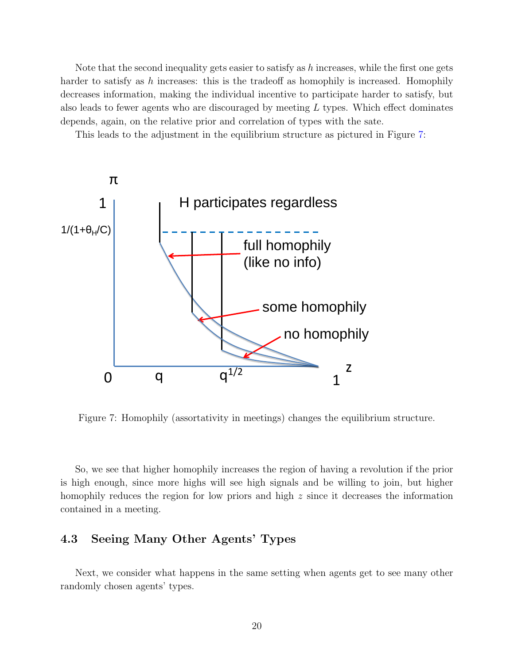Note that the second inequality gets easier to satisfy as  $h$  increases, while the first one gets harder to satisfy as h increases: this is the tradeoff as homophily is increased. Homophily decreases information, making the individual incentive to participate harder to satisfy, but also leads to fewer agents who are discouraged by meeting  $L$  types. Which effect dominates depends, again, on the relative prior and correlation of types with the sate.

This leads to the adjustment in the equilibrium structure as pictured in Figure [7:](#page-20-0)

<span id="page-20-0"></span>

Figure 7: Homophily (assortativity in meetings) changes the equilibrium structure.

So, we see that higher homophily increases the region of having a revolution if the prior is high enough, since more highs will see high signals and be willing to join, but higher homophily reduces the region for low priors and high z since it decreases the information contained in a meeting.

# 4.3 Seeing Many Other Agents' Types

Next, we consider what happens in the same setting when agents get to see many other randomly chosen agents' types.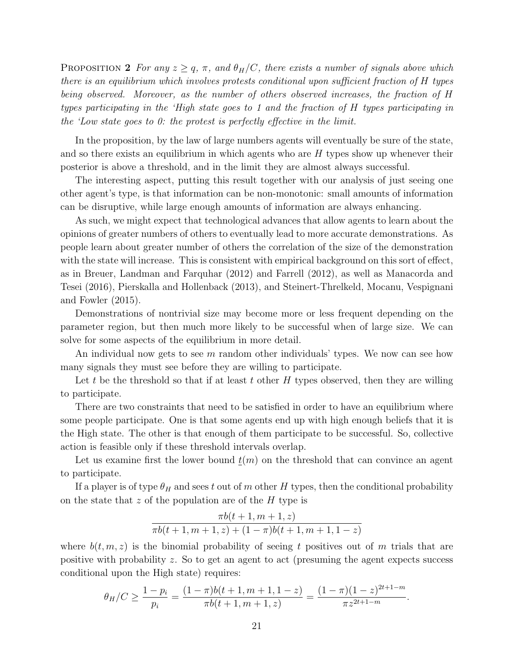PROPOSITION 2 For any  $z \geq q$ ,  $\pi$ , and  $\theta_H/C$ , there exists a number of signals above which there is an equilibrium which involves protests conditional upon sufficient fraction of H types being observed. Moreover, as the number of others observed increases, the fraction of H types participating in the 'High state goes to 1 and the fraction of H types participating in the 'Low state goes to 0: the protest is perfectly effective in the limit.

In the proposition, by the law of large numbers agents will eventually be sure of the state, and so there exists an equilibrium in which agents who are  $H$  types show up whenever their posterior is above a threshold, and in the limit they are almost always successful.

The interesting aspect, putting this result together with our analysis of just seeing one other agent's type, is that information can be non-monotonic: small amounts of information can be disruptive, while large enough amounts of information are always enhancing.

As such, we might expect that technological advances that allow agents to learn about the opinions of greater numbers of others to eventually lead to more accurate demonstrations. As people learn about greater number of others the correlation of the size of the demonstration with the state will increase. This is consistent with empirical background on this sort of effect, as in Breuer, Landman and Farquhar (2012) and Farrell (2012), as well as Manacorda and Tesei (2016), Pierskalla and Hollenback (2013), and Steinert-Threlkeld, Mocanu, Vespignani and Fowler (2015).

Demonstrations of nontrivial size may become more or less frequent depending on the parameter region, but then much more likely to be successful when of large size. We can solve for some aspects of the equilibrium in more detail.

An individual now gets to see m random other individuals' types. We now can see how many signals they must see before they are willing to participate.

Let t be the threshold so that if at least t other  $H$  types observed, then they are willing to participate.

There are two constraints that need to be satisfied in order to have an equilibrium where some people participate. One is that some agents end up with high enough beliefs that it is the High state. The other is that enough of them participate to be successful. So, collective action is feasible only if these threshold intervals overlap.

Let us examine first the lower bound  $\underline{t}(m)$  on the threshold that can convince an agent to participate.

If a player is of type  $\theta_H$  and sees t out of m other H types, then the conditional probability on the state that  $z$  of the population are of the  $H$  type is

$$
\frac{\pi b(t+1,m+1,z)}{\pi b(t+1,m+1,z)+(1-\pi)b(t+1,m+1,1-z)}
$$

where  $b(t, m, z)$  is the binomial probability of seeing t positives out of m trials that are positive with probability z. So to get an agent to act (presuming the agent expects success conditional upon the High state) requires:

$$
\theta_H/C \ge \frac{1-p_i}{p_i} = \frac{(1-\pi)b(t+1, m+1, 1-z)}{\pi b(t+1, m+1, z)} = \frac{(1-\pi)(1-z)^{2t+1-m}}{\pi z^{2t+1-m}}.
$$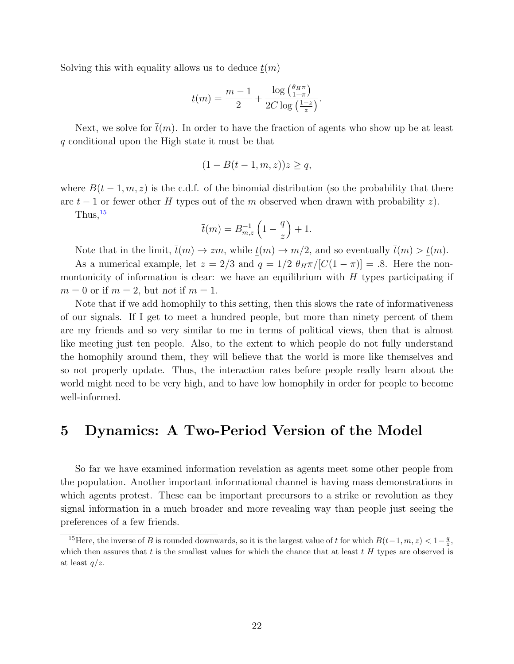Solving this with equality allows us to deduce  $t(m)$ 

$$
\underline{t}(m) = \frac{m-1}{2} + \frac{\log\left(\frac{\theta_H \pi}{1-\pi}\right)}{2C \log\left(\frac{1-z}{z}\right)}.
$$

Next, we solve for  $\bar{t}(m)$ . In order to have the fraction of agents who show up be at least q conditional upon the High state it must be that

$$
(1 - B(t - 1, m, z))z \ge q,
$$

where  $B(t-1, m, z)$  is the c.d.f. of the binomial distribution (so the probability that there are  $t-1$  or fewer other H types out of the m observed when drawn with probability z).

 $Thus, <sup>15</sup>$  $Thus, <sup>15</sup>$  $Thus, <sup>15</sup>$ 

$$
\overline{t}(m) = B_{m,z}^{-1} \left( 1 - \frac{q}{z} \right) + 1.
$$

Note that in the limit,  $\overline{t}(m) \to zm$ , while  $t(m) \to m/2$ , and so eventually  $\overline{t}(m) > t(m)$ .

As a numerical example, let  $z = 2/3$  and  $q = 1/2 \theta_H \pi/[C(1-\pi)] = .8$ . Here the nonmontonicity of information is clear: we have an equilibrium with  $H$  types participating if  $m = 0$  or if  $m = 2$ , but not if  $m = 1$ .

Note that if we add homophily to this setting, then this slows the rate of informativeness of our signals. If I get to meet a hundred people, but more than ninety percent of them are my friends and so very similar to me in terms of political views, then that is almost like meeting just ten people. Also, to the extent to which people do not fully understand the homophily around them, they will believe that the world is more like themselves and so not properly update. Thus, the interaction rates before people really learn about the world might need to be very high, and to have low homophily in order for people to become well-informed.

# <span id="page-22-0"></span>5 Dynamics: A Two-Period Version of the Model

So far we have examined information revelation as agents meet some other people from the population. Another important informational channel is having mass demonstrations in which agents protest. These can be important precursors to a strike or revolution as they signal information in a much broader and more revealing way than people just seeing the preferences of a few friends.

<span id="page-22-1"></span><sup>&</sup>lt;sup>15</sup>Here, the inverse of B is rounded downwards, so it is the largest value of t for which  $B(t-1, m, z) < 1-\frac{q}{z}$ , which then assures that  $t$  is the smallest values for which the chance that at least  $t$  H types are observed is at least  $q/z$ .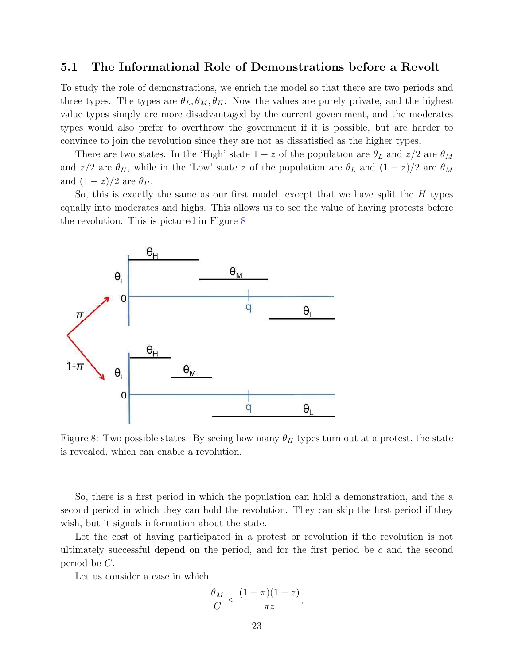### 5.1 The Informational Role of Demonstrations before a Revolt

To study the role of demonstrations, we enrich the model so that there are two periods and three types. The types are  $\theta_L, \theta_M, \theta_H$ . Now the values are purely private, and the highest value types simply are more disadvantaged by the current government, and the moderates types would also prefer to overthrow the government if it is possible, but are harder to convince to join the revolution since they are not as dissatisfied as the higher types.

There are two states. In the 'High' state  $1-z$  of the population are  $\theta_L$  and  $z/2$  are  $\theta_M$ and  $z/2$  are  $\theta_H$ , while in the 'Low' state z of the population are  $\theta_L$  and  $(1-z)/2$  are  $\theta_M$ and  $(1-z)/2$  are  $\theta_H$ .

So, this is exactly the same as our first model, except that we have split the  $H$  types equally into moderates and highs. This allows us to see the value of having protests before the revolution. This is pictured in Figure [8](#page-23-0)

<span id="page-23-0"></span>

Figure 8: Two possible states. By seeing how many  $\theta_H$  types turn out at a protest, the state is revealed, which can enable a revolution.

So, there is a first period in which the population can hold a demonstration, and the a second period in which they can hold the revolution. They can skip the first period if they wish, but it signals information about the state.

Let the cost of having participated in a protest or revolution if the revolution is not ultimately successful depend on the period, and for the first period be  $c$  and the second period be C.

Let us consider a case in which

$$
\frac{\theta_M}{C} < \frac{(1-\pi)(1-z)}{\pi z},
$$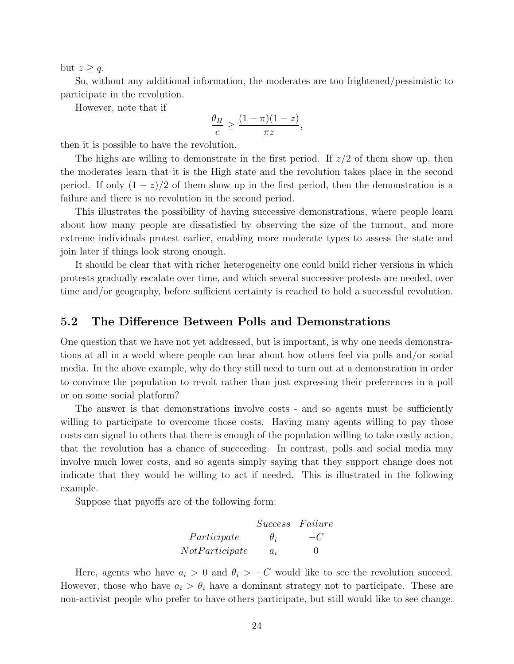but  $z \geq q$ .

So, without any additional information, the moderates are too frightened/pessimistic to participate in the revolution.

However, note that if

$$
\frac{\theta_H}{c} \ge \frac{(1-\pi)(1-z)}{\pi z},
$$

then it is possible to have the revolution.

The highs are willing to demonstrate in the first period. If  $z/2$  of them show up, then the moderates learn that it is the High state and the revolution takes place in the second period. If only  $(1-z)/2$  of them show up in the first period, then the demonstration is a failure and there is no revolution in the second period.

This illustrates the possibility of having successive demonstrations, where people learn about how many people are dissatisfied by observing the size of the turnout, and more extreme individuals protest earlier, enabling more moderate types to assess the state and join later if things look strong enough.

It should be clear that with richer heterogeneity one could build richer versions in which protests gradually escalate over time, and which several successive protests are needed, over time and/or geography, before sufficient certainty is reached to hold a successful revolution.

### <span id="page-24-0"></span>5.2 The Difference Between Polls and Demonstrations

One question that we have not yet addressed, but is important, is why one needs demonstrations at all in a world where people can hear about how others feel via polls and/or social media. In the above example, why do they still need to turn out at a demonstration in order to convince the population to revolt rather than just expressing their preferences in a poll or on some social platform?

The answer is that demonstrations involve costs - and so agents must be sufficiently willing to participate to overcome those costs. Having many agents willing to pay those costs can signal to others that there is enough of the population willing to take costly action, that the revolution has a chance of succeeding. In contrast, polls and social media may involve much lower costs, and so agents simply saying that they support change does not indicate that they would be willing to act if needed. This is illustrated in the following example.

Suppose that payoffs are of the following form:

|                | Success Failure |         |
|----------------|-----------------|---------|
| Participate    | $\theta_i$      | $-$ ( ) |
| NotParticipate | $a_i$           | $\cup$  |

Here, agents who have  $a_i > 0$  and  $\theta_i > -C$  would like to see the revolution succeed. However, those who have  $a_i > \theta_i$  have a dominant strategy not to participate. These are non-activist people who prefer to have others participate, but still would like to see change.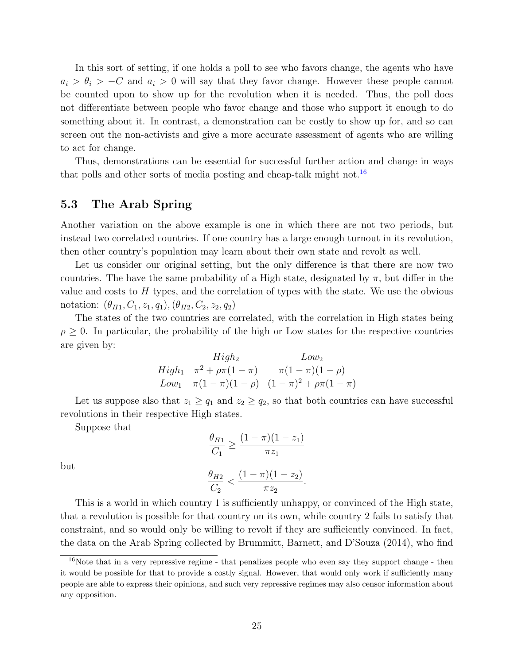In this sort of setting, if one holds a poll to see who favors change, the agents who have  $a_i > \theta_i > -C$  and  $a_i > 0$  will say that they favor change. However these people cannot be counted upon to show up for the revolution when it is needed. Thus, the poll does not differentiate between people who favor change and those who support it enough to do something about it. In contrast, a demonstration can be costly to show up for, and so can screen out the non-activists and give a more accurate assessment of agents who are willing to act for change.

Thus, demonstrations can be essential for successful further action and change in ways that polls and other sorts of media posting and cheap-talk might not.<sup>[16](#page-25-1)</sup>

# <span id="page-25-0"></span>5.3 The Arab Spring

Another variation on the above example is one in which there are not two periods, but instead two correlated countries. If one country has a large enough turnout in its revolution, then other country's population may learn about their own state and revolt as well.

Let us consider our original setting, but the only difference is that there are now two countries. The have the same probability of a High state, designated by  $\pi$ , but differ in the value and costs to  $H$  types, and the correlation of types with the state. We use the obvious notation:  $(\theta_{H1}, C_1, z_1, q_1), (\theta_{H2}, C_2, z_2, q_2)$ 

The states of the two countries are correlated, with the correlation in High states being  $\rho \geq 0$ . In particular, the probability of the high or Low states for the respective countries are given by:

*High*<sub>2</sub> *Low*<sub>2</sub>  
\n*High*<sub>1</sub> 
$$
\pi^2 + \rho \pi (1 - \pi)
$$
  $\pi (1 - \pi)(1 - \rho)$   
\n*Low*<sub>1</sub>  $\pi (1 - \pi)(1 - \rho)$   $(1 - \pi)^2 + \rho \pi (1 - \pi)$ 

Let us suppose also that  $z_1 \ge q_1$  and  $z_2 \ge q_2$ , so that both countries can have successful revolutions in their respective High states.

Suppose that

$$
\frac{\theta_{H1}}{C_1} \ge \frac{(1-\pi)(1-z_1)}{\pi z_1}
$$

$$
\frac{\theta_{H2}}{C_2} < \frac{(1-\pi)(1-z_2)}{\pi z_2}.
$$

but

This is a world in which country 1 is sufficiently unhappy, or convinced of the High state, that a revolution is possible for that country on its own, while country 2 fails to satisfy that constraint, and so would only be willing to revolt if they are sufficiently convinced. In fact, the data on the Arab Spring collected by Brummitt, Barnett, and D'Souza (2014), who find

<span id="page-25-1"></span><sup>&</sup>lt;sup>16</sup>Note that in a very repressive regime - that penalizes people who even say they support change - then it would be possible for that to provide a costly signal. However, that would only work if sufficiently many people are able to express their opinions, and such very repressive regimes may also censor information about any opposition.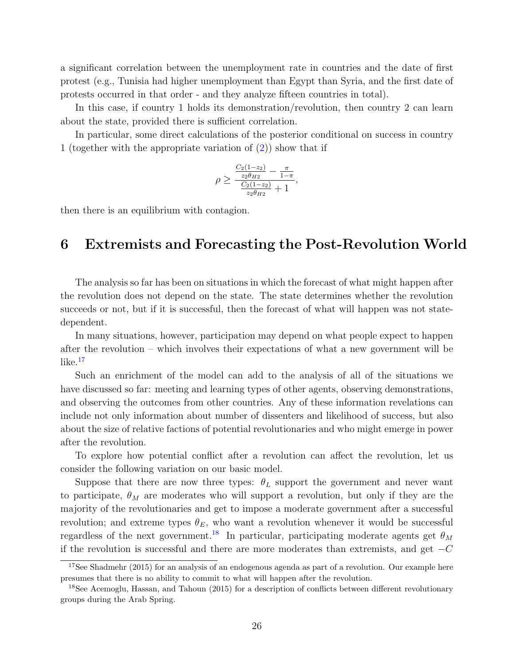a significant correlation between the unemployment rate in countries and the date of first protest (e.g., Tunisia had higher unemployment than Egypt than Syria, and the first date of protests occurred in that order - and they analyze fifteen countries in total).

In this case, if country 1 holds its demonstration/revolution, then country 2 can learn about the state, provided there is sufficient correlation.

In particular, some direct calculations of the posterior conditional on success in country 1 (together with the appropriate variation of  $(2)$ ) show that if

$$
\rho \ge \frac{\frac{C_2(1-z_2)}{z_2\theta_{H2}} - \frac{\pi}{1-\pi}}{\frac{C_2(1-z_2)}{z_2\theta_{H2}} + 1},
$$

then there is an equilibrium with contagion.

# <span id="page-26-0"></span>6 Extremists and Forecasting the Post-Revolution World

The analysis so far has been on situations in which the forecast of what might happen after the revolution does not depend on the state. The state determines whether the revolution succeeds or not, but if it is successful, then the forecast of what will happen was not statedependent.

In many situations, however, participation may depend on what people expect to happen after the revolution – which involves their expectations of what a new government will be  $like<sup>.17</sup>$  $like<sup>.17</sup>$  $like<sup>.17</sup>$ 

Such an enrichment of the model can add to the analysis of all of the situations we have discussed so far: meeting and learning types of other agents, observing demonstrations, and observing the outcomes from other countries. Any of these information revelations can include not only information about number of dissenters and likelihood of success, but also about the size of relative factions of potential revolutionaries and who might emerge in power after the revolution.

To explore how potential conflict after a revolution can affect the revolution, let us consider the following variation on our basic model.

Suppose that there are now three types:  $\theta_L$  support the government and never want to participate,  $\theta_M$  are moderates who will support a revolution, but only if they are the majority of the revolutionaries and get to impose a moderate government after a successful revolution; and extreme types  $\theta_E$ , who want a revolution whenever it would be successful regardless of the next government.<sup>[18](#page-26-2)</sup> In particular, participating moderate agents get  $\theta_M$ if the revolution is successful and there are more moderates than extremists, and get  $-C$ 

<span id="page-26-1"></span><sup>&</sup>lt;sup>17</sup>See Shadmehr (2015) for an analysis of an endogenous agenda as part of a revolution. Our example here presumes that there is no ability to commit to what will happen after the revolution.

<span id="page-26-2"></span><sup>&</sup>lt;sup>18</sup>See Acemoglu, Hassan, and Tahoun (2015) for a description of conflicts between different revolutionary groups during the Arab Spring.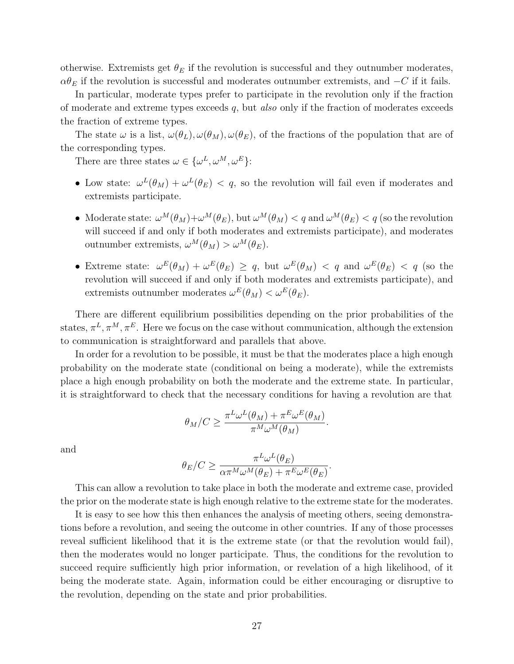otherwise. Extremists get  $\theta_E$  if the revolution is successful and they outnumber moderates,  $\alpha\theta_E$  if the revolution is successful and moderates outnumber extremists, and  $-C$  if it fails.

In particular, moderate types prefer to participate in the revolution only if the fraction of moderate and extreme types exceeds q, but also only if the fraction of moderates exceeds the fraction of extreme types.

The state  $\omega$  is a list,  $\omega(\theta_L), \omega(\theta_M), \omega(\theta_E)$ , of the fractions of the population that are of the corresponding types.

There are three states  $\omega \in {\{\omega^L, \omega^M, \omega^E\}}$ :

- Low state:  $\omega^L(\theta_M) + \omega^L(\theta_E) < q$ , so the revolution will fail even if moderates and extremists participate.
- Moderate state:  $\omega^M(\theta_M) + \omega^M(\theta_E)$ , but  $\omega^M(\theta_M) < q$  and  $\omega^M(\theta_E) < q$  (so the revolution will succeed if and only if both moderates and extremists participate), and moderates outnumber extremists,  $\omega^M(\theta_M) > \omega^M(\theta_E)$ .
- Extreme state:  $\omega^E(\theta_M) + \omega^E(\theta_E) \geq q$ , but  $\omega^E(\theta_M) < q$  and  $\omega^E(\theta_E) < q$  (so the revolution will succeed if and only if both moderates and extremists participate), and extremists outnumber moderates  $\omega^{E}(\theta_M) < \omega^{E}(\theta_E)$ .

There are different equilibrium possibilities depending on the prior probabilities of the states,  $\pi^L, \pi^M, \pi^E$ . Here we focus on the case without communication, although the extension to communication is straightforward and parallels that above.

In order for a revolution to be possible, it must be that the moderates place a high enough probability on the moderate state (conditional on being a moderate), while the extremists place a high enough probability on both the moderate and the extreme state. In particular, it is straightforward to check that the necessary conditions for having a revolution are that

$$
\theta_M/C \ge \frac{\pi^L \omega^L(\theta_M) + \pi^E \omega^E(\theta_M)}{\pi^M \omega^M(\theta_M)}.
$$

and

$$
\theta_E/C \geq \frac{\pi^L \omega^L(\theta_E)}{\alpha \pi^M \omega^M(\theta_E) + \pi^E \omega^E(\theta_E)}.
$$

This can allow a revolution to take place in both the moderate and extreme case, provided the prior on the moderate state is high enough relative to the extreme state for the moderates.

It is easy to see how this then enhances the analysis of meeting others, seeing demonstrations before a revolution, and seeing the outcome in other countries. If any of those processes reveal sufficient likelihood that it is the extreme state (or that the revolution would fail), then the moderates would no longer participate. Thus, the conditions for the revolution to succeed require sufficiently high prior information, or revelation of a high likelihood, of it being the moderate state. Again, information could be either encouraging or disruptive to the revolution, depending on the state and prior probabilities.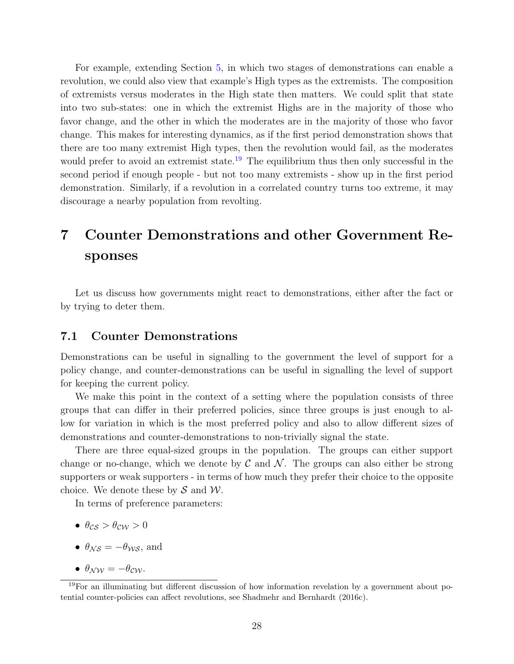For example, extending Section [5,](#page-22-0) in which two stages of demonstrations can enable a revolution, we could also view that example's High types as the extremists. The composition of extremists versus moderates in the High state then matters. We could split that state into two sub-states: one in which the extremist Highs are in the majority of those who favor change, and the other in which the moderates are in the majority of those who favor change. This makes for interesting dynamics, as if the first period demonstration shows that there are too many extremist High types, then the revolution would fail, as the moderates would prefer to avoid an extremist state.<sup>[19](#page-28-2)</sup> The equilibrium thus then only successful in the second period if enough people - but not too many extremists - show up in the first period demonstration. Similarly, if a revolution in a correlated country turns too extreme, it may discourage a nearby population from revolting.

# <span id="page-28-0"></span>7 Counter Demonstrations and other Government Responses

Let us discuss how governments might react to demonstrations, either after the fact or by trying to deter them.

### <span id="page-28-1"></span>7.1 Counter Demonstrations

Demonstrations can be useful in signalling to the government the level of support for a policy change, and counter-demonstrations can be useful in signalling the level of support for keeping the current policy.

We make this point in the context of a setting where the population consists of three groups that can differ in their preferred policies, since three groups is just enough to allow for variation in which is the most preferred policy and also to allow different sizes of demonstrations and counter-demonstrations to non-trivially signal the state.

There are three equal-sized groups in the population. The groups can either support change or no-change, which we denote by  $\mathcal C$  and  $\mathcal N$ . The groups can also either be strong supporters or weak supporters - in terms of how much they prefer their choice to the opposite choice. We denote these by  $\mathcal S$  and  $\mathcal W$ .

In terms of preference parameters:

- $\theta_{CS} > \theta_{CW} > 0$
- $\theta_{\mathcal{N}\mathcal{S}} = -\theta_{\mathcal{W}\mathcal{S}}$ , and
- $\theta_{NW} = -\theta_{CW}$ .

<span id="page-28-2"></span><sup>19</sup>For an illuminating but different discussion of how information revelation by a government about potential counter-policies can affect revolutions, see Shadmehr and Bernhardt (2016c).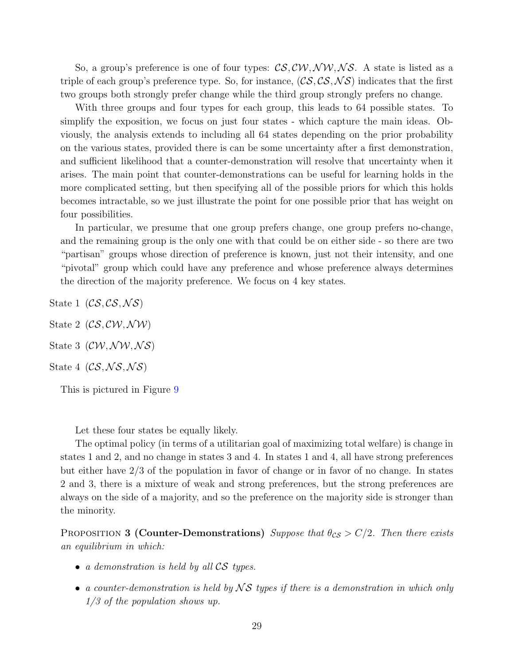So, a group's preference is one of four types:  $\mathcal{CS}, \mathcal{CW}, \mathcal{NW}, \mathcal{NS}$ . A state is listed as a triple of each group's preference type. So, for instance,  $(CS, CS, NS)$  indicates that the first two groups both strongly prefer change while the third group strongly prefers no change.

With three groups and four types for each group, this leads to 64 possible states. To simplify the exposition, we focus on just four states - which capture the main ideas. Obviously, the analysis extends to including all 64 states depending on the prior probability on the various states, provided there is can be some uncertainty after a first demonstration, and sufficient likelihood that a counter-demonstration will resolve that uncertainty when it arises. The main point that counter-demonstrations can be useful for learning holds in the more complicated setting, but then specifying all of the possible priors for which this holds becomes intractable, so we just illustrate the point for one possible prior that has weight on four possibilities.

In particular, we presume that one group prefers change, one group prefers no-change, and the remaining group is the only one with that could be on either side - so there are two "partisan" groups whose direction of preference is known, just not their intensity, and one "pivotal" group which could have any preference and whose preference always determines the direction of the majority preference. We focus on 4 key states.

- State 1  $(CS, CS, NS)$
- State 2  $(CS, CVV, NW)$
- State 3  $(CW, \mathcal{NW}, \mathcal{NS})$
- State 4  $(CS, NS, NS)$

This is pictured in Figure [9](#page-30-0)

Let these four states be equally likely.

The optimal policy (in terms of a utilitarian goal of maximizing total welfare) is change in states 1 and 2, and no change in states 3 and 4. In states 1 and 4, all have strong preferences but either have 2/3 of the population in favor of change or in favor of no change. In states 2 and 3, there is a mixture of weak and strong preferences, but the strong preferences are always on the side of a majority, and so the preference on the majority side is stronger than the minority.

PROPOSITION 3 (Counter-Demonstrations) Suppose that  $\theta_{CS} > C/2$ . Then there exists an equilibrium in which:

- a demonstration is held by all CS types.
- a counter-demonstration is held by  $\mathcal{N} \mathcal{S}$  types if there is a demonstration in which only 1/3 of the population shows up.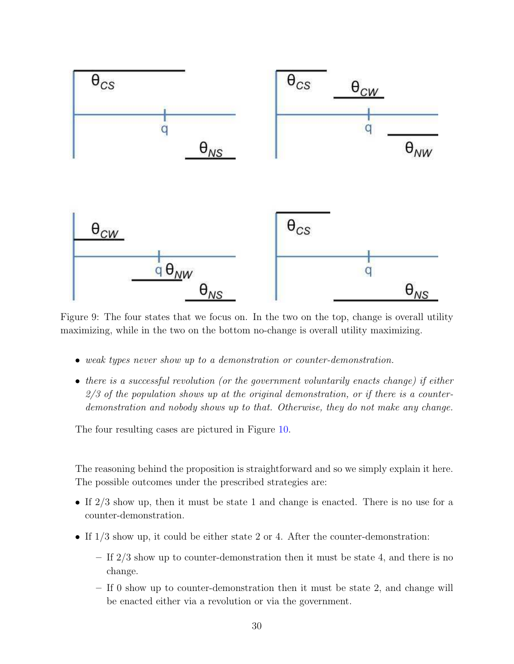<span id="page-30-0"></span>

Figure 9: The four states that we focus on. In the two on the top, change is overall utility maximizing, while in the two on the bottom no-change is overall utility maximizing.

- weak types never show up to a demonstration or counter-demonstration.
- there is a successful revolution (or the government voluntarily enacts change) if either  $2/3$  of the population shows up at the original demonstration, or if there is a counterdemonstration and nobody shows up to that. Otherwise, they do not make any change.

The four resulting cases are pictured in Figure [10.](#page-31-0)

The reasoning behind the proposition is straightforward and so we simply explain it here. The possible outcomes under the prescribed strategies are:

- If  $2/3$  show up, then it must be state 1 and change is enacted. There is no use for a counter-demonstration.
- If  $1/3$  show up, it could be either state 2 or 4. After the counter-demonstration:
	- If 2/3 show up to counter-demonstration then it must be state 4, and there is no change.
	- If 0 show up to counter-demonstration then it must be state 2, and change will be enacted either via a revolution or via the government.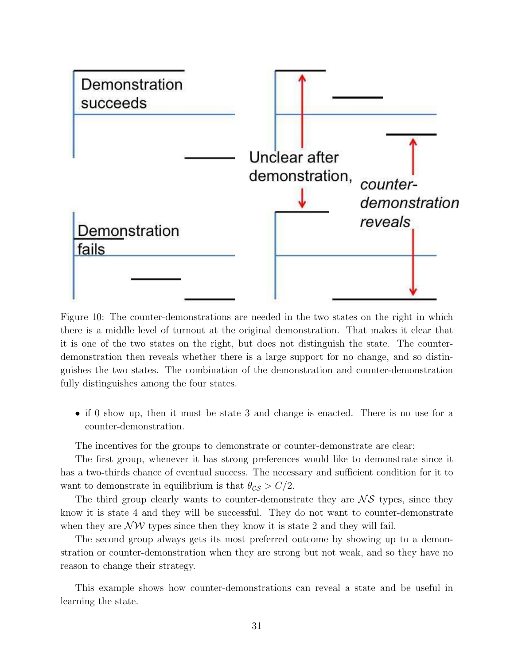<span id="page-31-0"></span>

Figure 10: The counter-demonstrations are needed in the two states on the right in which there is a middle level of turnout at the original demonstration. That makes it clear that it is one of the two states on the right, but does not distinguish the state. The counterdemonstration then reveals whether there is a large support for no change, and so distinguishes the two states. The combination of the demonstration and counter-demonstration fully distinguishes among the four states.

• if 0 show up, then it must be state 3 and change is enacted. There is no use for a counter-demonstration.

The incentives for the groups to demonstrate or counter-demonstrate are clear:

The first group, whenever it has strong preferences would like to demonstrate since it has a two-thirds chance of eventual success. The necessary and sufficient condition for it to want to demonstrate in equilibrium is that  $\theta_{CS} > C/2$ .

The third group clearly wants to counter-demonstrate they are  $\mathcal{N} \mathcal{S}$  types, since they know it is state 4 and they will be successful. They do not want to counter-demonstrate when they are  $\mathcal{NW}$  types since then they know it is state 2 and they will fail.

The second group always gets its most preferred outcome by showing up to a demonstration or counter-demonstration when they are strong but not weak, and so they have no reason to change their strategy.

This example shows how counter-demonstrations can reveal a state and be useful in learning the state.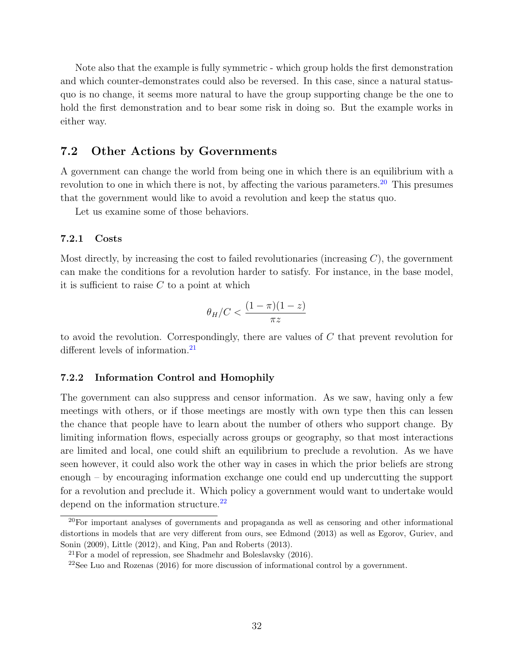Note also that the example is fully symmetric - which group holds the first demonstration and which counter-demonstrates could also be reversed. In this case, since a natural statusquo is no change, it seems more natural to have the group supporting change be the one to hold the first demonstration and to bear some risk in doing so. But the example works in either way.

## <span id="page-32-0"></span>7.2 Other Actions by Governments

A government can change the world from being one in which there is an equilibrium with a revolution to one in which there is not, by affecting the various parameters.<sup>[20](#page-32-1)</sup> This presumes that the government would like to avoid a revolution and keep the status quo.

Let us examine some of those behaviors.

#### 7.2.1 Costs

Most directly, by increasing the cost to failed revolutionaries (increasing  $C$ ), the government can make the conditions for a revolution harder to satisfy. For instance, in the base model, it is sufficient to raise  $C$  to a point at which

$$
\theta_H/C < \frac{(1-\pi)(1-z)}{\pi z}
$$

to avoid the revolution. Correspondingly, there are values of  $C$  that prevent revolution for different levels of information.<sup>[21](#page-32-2)</sup>

### 7.2.2 Information Control and Homophily

The government can also suppress and censor information. As we saw, having only a few meetings with others, or if those meetings are mostly with own type then this can lessen the chance that people have to learn about the number of others who support change. By limiting information flows, especially across groups or geography, so that most interactions are limited and local, one could shift an equilibrium to preclude a revolution. As we have seen however, it could also work the other way in cases in which the prior beliefs are strong enough – by encouraging information exchange one could end up undercutting the support for a revolution and preclude it. Which policy a government would want to undertake would depend on the information structure.<sup>[22](#page-32-3)</sup>

<span id="page-32-1"></span> $^{20}$ For important analyses of governments and propaganda as well as censoring and other informational distortions in models that are very different from ours, see Edmond (2013) as well as Egorov, Guriev, and Sonin (2009), Little (2012), and King, Pan and Roberts (2013).

<span id="page-32-2"></span> $^{21}$ For a model of repression, see Shadmehr and Boleslavsky (2016).

<span id="page-32-3"></span><sup>22</sup>See Luo and Rozenas (2016) for more discussion of informational control by a government.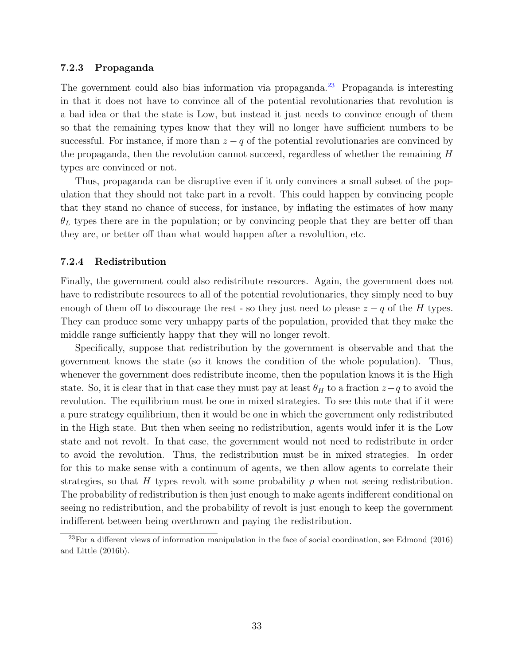#### 7.2.3 Propaganda

The government could also bias information via propaganda.<sup>[23](#page-33-0)</sup> Propaganda is interesting in that it does not have to convince all of the potential revolutionaries that revolution is a bad idea or that the state is Low, but instead it just needs to convince enough of them so that the remaining types know that they will no longer have sufficient numbers to be successful. For instance, if more than  $z - q$  of the potential revolutionaries are convinced by the propaganda, then the revolution cannot succeed, regardless of whether the remaining H types are convinced or not.

Thus, propaganda can be disruptive even if it only convinces a small subset of the population that they should not take part in a revolt. This could happen by convincing people that they stand no chance of success, for instance, by inflating the estimates of how many  $\theta_L$  types there are in the population; or by convincing people that they are better off than they are, or better off than what would happen after a revolultion, etc.

#### 7.2.4 Redistribution

Finally, the government could also redistribute resources. Again, the government does not have to redistribute resources to all of the potential revolutionaries, they simply need to buy enough of them off to discourage the rest - so they just need to please  $z - q$  of the H types. They can produce some very unhappy parts of the population, provided that they make the middle range sufficiently happy that they will no longer revolt.

Specifically, suppose that redistribution by the government is observable and that the government knows the state (so it knows the condition of the whole population). Thus, whenever the government does redistribute income, then the population knows it is the High state. So, it is clear that in that case they must pay at least  $\theta_H$  to a fraction  $z-q$  to avoid the revolution. The equilibrium must be one in mixed strategies. To see this note that if it were a pure strategy equilibrium, then it would be one in which the government only redistributed in the High state. But then when seeing no redistribution, agents would infer it is the Low state and not revolt. In that case, the government would not need to redistribute in order to avoid the revolution. Thus, the redistribution must be in mixed strategies. In order for this to make sense with a continuum of agents, we then allow agents to correlate their strategies, so that H types revolt with some probability  $p$  when not seeing redistribution. The probability of redistribution is then just enough to make agents indifferent conditional on seeing no redistribution, and the probability of revolt is just enough to keep the government indifferent between being overthrown and paying the redistribution.

<span id="page-33-0"></span><sup>23</sup>For a different views of information manipulation in the face of social coordination, see Edmond (2016) and Little (2016b).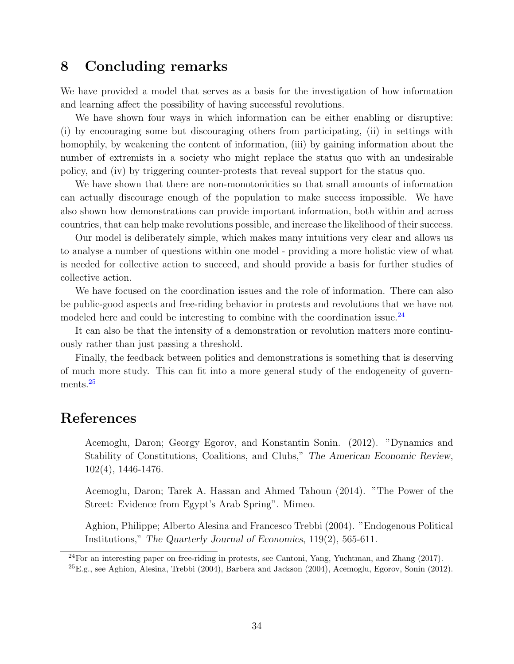# 8 Concluding remarks

We have provided a model that serves as a basis for the investigation of how information and learning affect the possibility of having successful revolutions.

We have shown four ways in which information can be either enabling or disruptive: (i) by encouraging some but discouraging others from participating, (ii) in settings with homophily, by weakening the content of information, (iii) by gaining information about the number of extremists in a society who might replace the status quo with an undesirable policy, and (iv) by triggering counter-protests that reveal support for the status quo.

We have shown that there are non-monotonicities so that small amounts of information can actually discourage enough of the population to make success impossible. We have also shown how demonstrations can provide important information, both within and across countries, that can help make revolutions possible, and increase the likelihood of their success.

Our model is deliberately simple, which makes many intuitions very clear and allows us to analyse a number of questions within one model - providing a more holistic view of what is needed for collective action to succeed, and should provide a basis for further studies of collective action.

We have focused on the coordination issues and the role of information. There can also be public-good aspects and free-riding behavior in protests and revolutions that we have not modeled here and could be interesting to combine with the coordination issue.<sup>[24](#page-34-0)</sup>

It can also be that the intensity of a demonstration or revolution matters more continuously rather than just passing a threshold.

Finally, the feedback between politics and demonstrations is something that is deserving of much more study. This can fit into a more general study of the endogeneity of govern-ments.<sup>[25](#page-34-1)</sup>

# References

Acemoglu, Daron; Georgy Egorov, and Konstantin Sonin. (2012). "Dynamics and Stability of Constitutions, Coalitions, and Clubs," The American Economic Review, 102(4), 1446-1476.

Acemoglu, Daron; Tarek A. Hassan and Ahmed Tahoun (2014). "The Power of the Street: Evidence from Egypt's Arab Spring". Mimeo.

Aghion, Philippe; Alberto Alesina and Francesco Trebbi (2004). "Endogenous Political Institutions," The Quarterly Journal of Economics, 119(2), 565-611.

<span id="page-34-1"></span><span id="page-34-0"></span> $^{24}$ For an interesting paper on free-riding in protests, see Cantoni, Yang, Yuchtman, and Zhang (2017).  ${}^{25}E.g.,$  see Aghion, Alesina, Trebbi (2004), Barbera and Jackson (2004), Acemoglu, Egorov, Sonin (2012).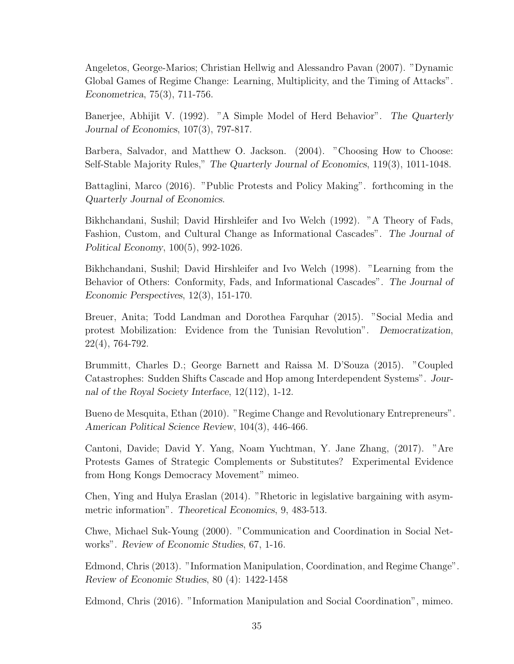Angeletos, George-Marios; Christian Hellwig and Alessandro Pavan (2007). "Dynamic Global Games of Regime Change: Learning, Multiplicity, and the Timing of Attacks". Econometrica, 75(3), 711-756.

Banerjee, Abhijit V. (1992). "A Simple Model of Herd Behavior". The Quarterly Journal of Economics, 107(3), 797-817.

Barbera, Salvador, and Matthew O. Jackson. (2004). "Choosing How to Choose: Self-Stable Majority Rules," The Quarterly Journal of Economics, 119(3), 1011-1048.

Battaglini, Marco (2016). "Public Protests and Policy Making". forthcoming in the Quarterly Journal of Economics.

Bikhchandani, Sushil; David Hirshleifer and Ivo Welch (1992). "A Theory of Fads, Fashion, Custom, and Cultural Change as Informational Cascades". The Journal of Political Economy, 100(5), 992-1026.

Bikhchandani, Sushil; David Hirshleifer and Ivo Welch (1998). "Learning from the Behavior of Others: Conformity, Fads, and Informational Cascades". The Journal of Economic Perspectives, 12(3), 151-170.

Breuer, Anita; Todd Landman and Dorothea Farquhar (2015). "Social Media and protest Mobilization: Evidence from the Tunisian Revolution". Democratization, 22(4), 764-792.

Brummitt, Charles D.; George Barnett and Raissa M. D'Souza (2015). "Coupled Catastrophes: Sudden Shifts Cascade and Hop among Interdependent Systems". Journal of the Royal Society Interface, 12(112), 1-12.

Bueno de Mesquita, Ethan (2010). "Regime Change and Revolutionary Entrepreneurs". American Political Science Review, 104(3), 446-466.

Cantoni, Davide; David Y. Yang, Noam Yuchtman, Y. Jane Zhang, (2017). "Are Protests Games of Strategic Complements or Substitutes? Experimental Evidence from Hong Kongs Democracy Movement" mimeo.

Chen, Ying and Hulya Eraslan (2014). "Rhetoric in legislative bargaining with asymmetric information". Theoretical Economics, 9, 483-513.

Chwe, Michael Suk-Young (2000). "Communication and Coordination in Social Networks". Review of Economic Studies, 67, 1-16.

Edmond, Chris (2013). "Information Manipulation, Coordination, and Regime Change". Review of Economic Studies, 80 (4): 1422-1458

Edmond, Chris (2016). "Information Manipulation and Social Coordination", mimeo.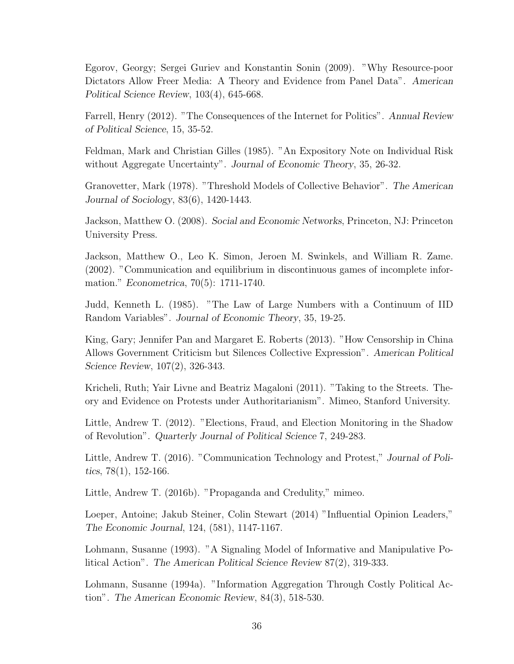Egorov, Georgy; Sergei Guriev and Konstantin Sonin (2009). "Why Resource-poor Dictators Allow Freer Media: A Theory and Evidence from Panel Data". American Political Science Review, 103(4), 645-668.

Farrell, Henry (2012). "The Consequences of the Internet for Politics". Annual Review of Political Science, 15, 35-52.

Feldman, Mark and Christian Gilles (1985). "An Expository Note on Individual Risk without Aggregate Uncertainty". Journal of Economic Theory, 35, 26-32.

Granovetter, Mark (1978). "Threshold Models of Collective Behavior". The American Journal of Sociology, 83(6), 1420-1443.

Jackson, Matthew O. (2008). Social and Economic Networks, Princeton, NJ: Princeton University Press.

Jackson, Matthew O., Leo K. Simon, Jeroen M. Swinkels, and William R. Zame. (2002). "Communication and equilibrium in discontinuous games of incomplete information." Econometrica, 70(5): 1711-1740.

Judd, Kenneth L. (1985). "The Law of Large Numbers with a Continuum of IID Random Variables". Journal of Economic Theory, 35, 19-25.

King, Gary; Jennifer Pan and Margaret E. Roberts (2013). "How Censorship in China Allows Government Criticism but Silences Collective Expression". American Political Science Review, 107(2), 326-343.

Kricheli, Ruth; Yair Livne and Beatriz Magaloni (2011). "Taking to the Streets. Theory and Evidence on Protests under Authoritarianism". Mimeo, Stanford University.

Little, Andrew T. (2012). "Elections, Fraud, and Election Monitoring in the Shadow of Revolution". Quarterly Journal of Political Science 7, 249-283.

Little, Andrew T. (2016). "Communication Technology and Protest," Journal of Politics, 78(1), 152-166.

Little, Andrew T. (2016b). "Propaganda and Credulity," mimeo.

Loeper, Antoine; Jakub Steiner, Colin Stewart (2014) "Influential Opinion Leaders," The Economic Journal, 124, (581), 1147-1167.

Lohmann, Susanne (1993). "A Signaling Model of Informative and Manipulative Political Action". The American Political Science Review 87(2), 319-333.

Lohmann, Susanne (1994a). "Information Aggregation Through Costly Political Action". The American Economic Review, 84(3), 518-530.